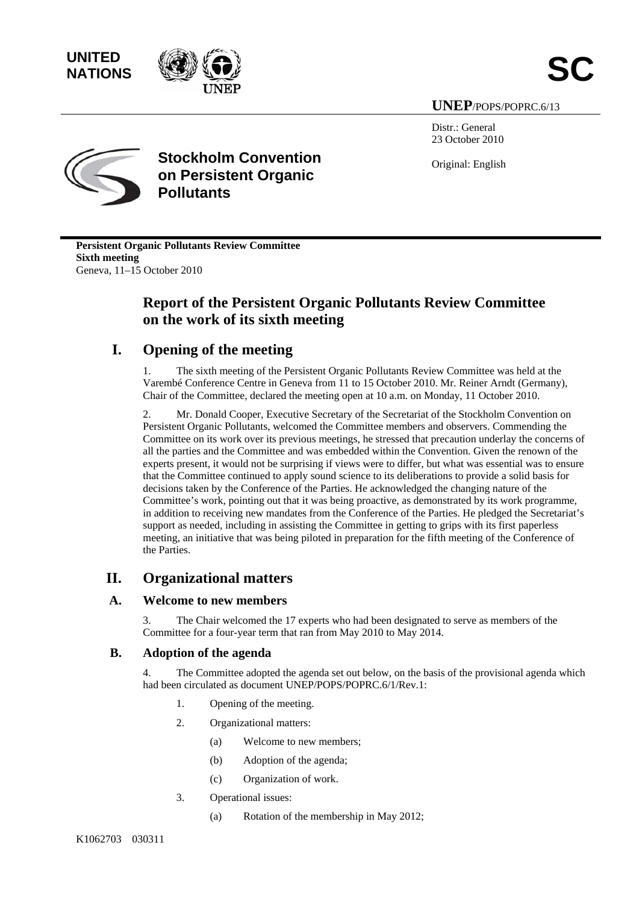**NATIONS** 



**UNEP**/POPS/POPRC.6/13

Distr.: General 23 October 2010

Original: English



**Stockholm Convention on Persistent Organic Pollutants**

**Persistent Organic Pollutants Review Committee Sixth meeting**  Geneva, 11–15 October 2010

# **Report of the Persistent Organic Pollutants Review Committee on the work of its sixth meeting**

# **I. Opening of the meeting**

1. The sixth meeting of the Persistent Organic Pollutants Review Committee was held at the Varembé Conference Centre in Geneva from 11 to 15 October 2010. Mr. Reiner Arndt (Germany), Chair of the Committee, declared the meeting open at 10 a.m. on Monday, 11 October 2010.

2. Mr. Donald Cooper, Executive Secretary of the Secretariat of the Stockholm Convention on Persistent Organic Pollutants, welcomed the Committee members and observers. Commending the Committee on its work over its previous meetings, he stressed that precaution underlay the concerns of all the parties and the Committee and was embedded within the Convention. Given the renown of the experts present, it would not be surprising if views were to differ, but what was essential was to ensure that the Committee continued to apply sound science to its deliberations to provide a solid basis for decisions taken by the Conference of the Parties. He acknowledged the changing nature of the Committee's work, pointing out that it was being proactive, as demonstrated by its work programme, in addition to receiving new mandates from the Conference of the Parties. He pledged the Secretariat's support as needed, including in assisting the Committee in getting to grips with its first paperless meeting, an initiative that was being piloted in preparation for the fifth meeting of the Conference of the Parties.

# **II. Organizational matters**

# **A. Welcome to new members**

The Chair welcomed the 17 experts who had been designated to serve as members of the Committee for a four-year term that ran from May 2010 to May 2014.

# **B. Adoption of the agenda**

4. The Committee adopted the agenda set out below, on the basis of the provisional agenda which had been circulated as document UNEP/POPS/POPRC.6/1/Rev.1:

- 1. Opening of the meeting.
- 2. Organizational matters:
	- (a) Welcome to new members;
	- (b) Adoption of the agenda;
	- (c) Organization of work.
- 3. Operational issues:
	- (a) Rotation of the membership in May 2012;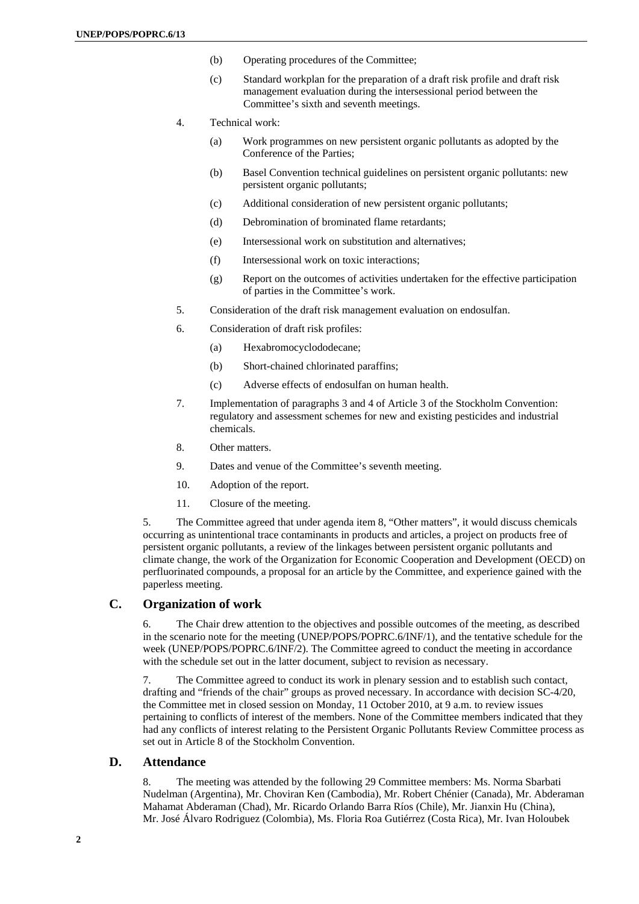- (b) Operating procedures of the Committee;
- (c) Standard workplan for the preparation of a draft risk profile and draft risk management evaluation during the intersessional period between the Committee's sixth and seventh meetings.
- 4. Technical work:
	- (a) Work programmes on new persistent organic pollutants as adopted by the Conference of the Parties;
	- (b) Basel Convention technical guidelines on persistent organic pollutants: new persistent organic pollutants;
	- (c) Additional consideration of new persistent organic pollutants;
	- (d) Debromination of brominated flame retardants;
	- (e) Intersessional work on substitution and alternatives;
	- (f) Intersessional work on toxic interactions;
	- (g) Report on the outcomes of activities undertaken for the effective participation of parties in the Committee's work.
- 5. Consideration of the draft risk management evaluation on endosulfan.
- 6. Consideration of draft risk profiles:
	- (a) Hexabromocyclododecane;
	- (b) Short-chained chlorinated paraffins;
	- (c) Adverse effects of endosulfan on human health.
- 7. Implementation of paragraphs 3 and 4 of Article 3 of the Stockholm Convention: regulatory and assessment schemes for new and existing pesticides and industrial chemicals.
- 8. Other matters.
- 9. Dates and venue of the Committee's seventh meeting.
- 10. Adoption of the report.
- 11. Closure of the meeting.

5. The Committee agreed that under agenda item 8, "Other matters", it would discuss chemicals occurring as unintentional trace contaminants in products and articles, a project on products free of persistent organic pollutants, a review of the linkages between persistent organic pollutants and climate change, the work of the Organization for Economic Cooperation and Development (OECD) on perfluorinated compounds, a proposal for an article by the Committee, and experience gained with the paperless meeting.

### **C. Organization of work**

6. The Chair drew attention to the objectives and possible outcomes of the meeting, as described in the scenario note for the meeting (UNEP/POPS/POPRC.6/INF/1), and the tentative schedule for the week (UNEP/POPS/POPRC.6/INF/2). The Committee agreed to conduct the meeting in accordance with the schedule set out in the latter document, subject to revision as necessary.

7. The Committee agreed to conduct its work in plenary session and to establish such contact, drafting and "friends of the chair" groups as proved necessary. In accordance with decision SC-4/20, the Committee met in closed session on Monday, 11 October 2010, at 9 a.m. to review issues pertaining to conflicts of interest of the members. None of the Committee members indicated that they had any conflicts of interest relating to the Persistent Organic Pollutants Review Committee process as set out in Article 8 of the Stockholm Convention.

### **D. Attendance**

8. The meeting was attended by the following 29 Committee members: Ms. Norma Sbarbati Nudelman (Argentina), Mr. Choviran Ken (Cambodia), Mr. Robert Chénier (Canada), Mr. Abderaman Mahamat Abderaman (Chad), Mr. Ricardo Orlando Barra Ríos (Chile), Mr. Jianxin Hu (China), Mr. José Álvaro Rodriguez (Colombia), Ms. Floria Roa Gutiérrez (Costa Rica), Mr. Ivan Holoubek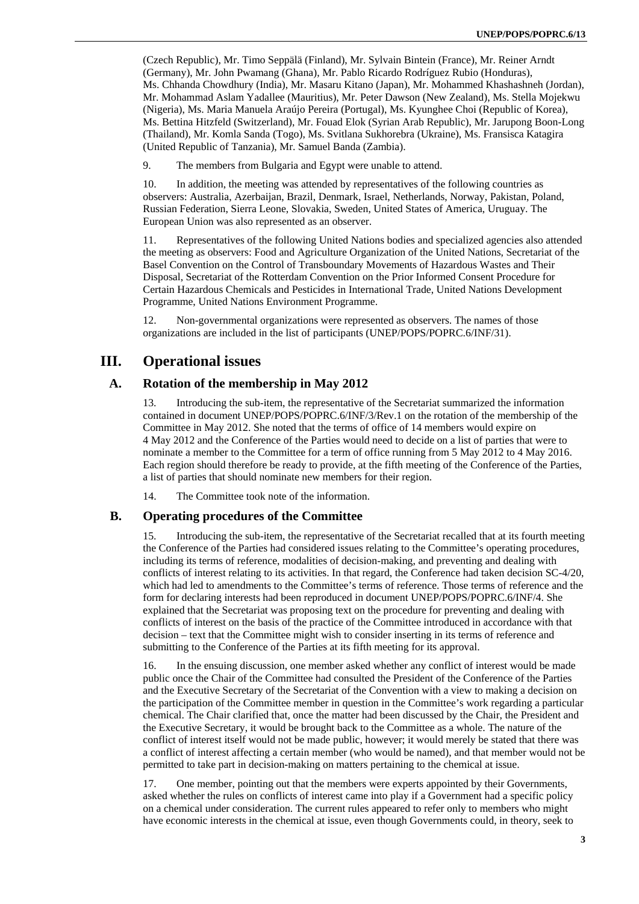(Czech Republic), Mr. Timo Seppälä (Finland), Mr. Sylvain Bintein (France), Mr. Reiner Arndt (Germany), Mr. John Pwamang (Ghana), Mr. Pablo Ricardo Rodríguez Rubio (Honduras), Ms. Chhanda Chowdhury (India), Mr. Masaru Kitano (Japan), Mr. Mohammed Khashashneh (Jordan), Mr. Mohammad Aslam Yadallee (Mauritius), Mr. Peter Dawson (New Zealand), Ms. Stella Mojekwu (Nigeria), Ms. Maria Manuela Araújo Pereira (Portugal), Ms. Kyunghee Choi (Republic of Korea), Ms. Bettina Hitzfeld (Switzerland), Mr. Fouad Elok (Syrian Arab Republic), Mr. Jarupong Boon-Long (Thailand), Mr. Komla Sanda (Togo), Ms. Svitlana Sukhorebra (Ukraine), Ms. Fransisca Katagira (United Republic of Tanzania), Mr. Samuel Banda (Zambia).

9. The members from Bulgaria and Egypt were unable to attend.

10. In addition, the meeting was attended by representatives of the following countries as observers: Australia, Azerbaijan, Brazil, Denmark, Israel, Netherlands, Norway, Pakistan, Poland, Russian Federation, Sierra Leone, Slovakia, Sweden, United States of America, Uruguay. The European Union was also represented as an observer.

11. Representatives of the following United Nations bodies and specialized agencies also attended the meeting as observers: Food and Agriculture Organization of the United Nations, Secretariat of the Basel Convention on the Control of Transboundary Movements of Hazardous Wastes and Their Disposal, Secretariat of the Rotterdam Convention on the Prior Informed Consent Procedure for Certain Hazardous Chemicals and Pesticides in International Trade, United Nations Development Programme, United Nations Environment Programme.

12. Non-governmental organizations were represented as observers. The names of those organizations are included in the list of participants (UNEP/POPS/POPRC.6/INF/31).

# **III. Operational issues**

### **A. Rotation of the membership in May 2012**

13. Introducing the sub-item, the representative of the Secretariat summarized the information contained in document UNEP/POPS/POPRC.6/INF/3/Rev.1 on the rotation of the membership of the Committee in May 2012. She noted that the terms of office of 14 members would expire on 4 May 2012 and the Conference of the Parties would need to decide on a list of parties that were to nominate a member to the Committee for a term of office running from 5 May 2012 to 4 May 2016. Each region should therefore be ready to provide, at the fifth meeting of the Conference of the Parties, a list of parties that should nominate new members for their region.

14. The Committee took note of the information.

### **B. Operating procedures of the Committee**

15. Introducing the sub-item, the representative of the Secretariat recalled that at its fourth meeting the Conference of the Parties had considered issues relating to the Committee's operating procedures, including its terms of reference, modalities of decision-making, and preventing and dealing with conflicts of interest relating to its activities. In that regard, the Conference had taken decision SC-4/20, which had led to amendments to the Committee's terms of reference. Those terms of reference and the form for declaring interests had been reproduced in document UNEP/POPS/POPRC.6/INF/4. She explained that the Secretariat was proposing text on the procedure for preventing and dealing with conflicts of interest on the basis of the practice of the Committee introduced in accordance with that decision – text that the Committee might wish to consider inserting in its terms of reference and submitting to the Conference of the Parties at its fifth meeting for its approval.

16. In the ensuing discussion, one member asked whether any conflict of interest would be made public once the Chair of the Committee had consulted the President of the Conference of the Parties and the Executive Secretary of the Secretariat of the Convention with a view to making a decision on the participation of the Committee member in question in the Committee's work regarding a particular chemical. The Chair clarified that, once the matter had been discussed by the Chair, the President and the Executive Secretary, it would be brought back to the Committee as a whole. The nature of the conflict of interest itself would not be made public, however; it would merely be stated that there was a conflict of interest affecting a certain member (who would be named), and that member would not be permitted to take part in decision-making on matters pertaining to the chemical at issue.

17. One member, pointing out that the members were experts appointed by their Governments, asked whether the rules on conflicts of interest came into play if a Government had a specific policy on a chemical under consideration. The current rules appeared to refer only to members who might have economic interests in the chemical at issue, even though Governments could, in theory, seek to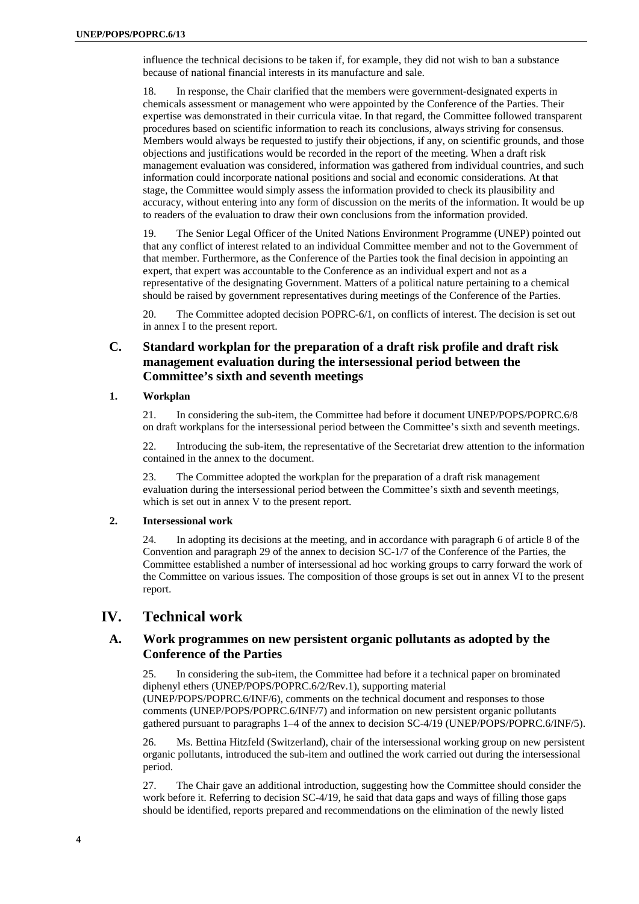influence the technical decisions to be taken if, for example, they did not wish to ban a substance because of national financial interests in its manufacture and sale.

18. In response, the Chair clarified that the members were government-designated experts in chemicals assessment or management who were appointed by the Conference of the Parties. Their expertise was demonstrated in their curricula vitae. In that regard, the Committee followed transparent procedures based on scientific information to reach its conclusions, always striving for consensus. Members would always be requested to justify their objections, if any, on scientific grounds, and those objections and justifications would be recorded in the report of the meeting. When a draft risk management evaluation was considered, information was gathered from individual countries, and such information could incorporate national positions and social and economic considerations. At that stage, the Committee would simply assess the information provided to check its plausibility and accuracy, without entering into any form of discussion on the merits of the information. It would be up to readers of the evaluation to draw their own conclusions from the information provided.

19. The Senior Legal Officer of the United Nations Environment Programme (UNEP) pointed out that any conflict of interest related to an individual Committee member and not to the Government of that member. Furthermore, as the Conference of the Parties took the final decision in appointing an expert, that expert was accountable to the Conference as an individual expert and not as a representative of the designating Government. Matters of a political nature pertaining to a chemical should be raised by government representatives during meetings of the Conference of the Parties.

20. The Committee adopted decision POPRC-6/1, on conflicts of interest. The decision is set out in annex I to the present report.

# **C. Standard workplan for the preparation of a draft risk profile and draft risk management evaluation during the intersessional period between the Committee's sixth and seventh meetings**

#### **1. Workplan**

21. In considering the sub-item, the Committee had before it document UNEP/POPS/POPRC.6/8 on draft workplans for the intersessional period between the Committee's sixth and seventh meetings.

22. Introducing the sub-item, the representative of the Secretariat drew attention to the information contained in the annex to the document.

23. The Committee adopted the workplan for the preparation of a draft risk management evaluation during the intersessional period between the Committee's sixth and seventh meetings, which is set out in annex V to the present report.

#### **2. Intersessional work**

24. In adopting its decisions at the meeting, and in accordance with paragraph 6 of article 8 of the Convention and paragraph 29 of the annex to decision SC-1/7 of the Conference of the Parties, the Committee established a number of intersessional ad hoc working groups to carry forward the work of the Committee on various issues. The composition of those groups is set out in annex VI to the present report.

# **IV. Technical work**

### **A. Work programmes on new persistent organic pollutants as adopted by the Conference of the Parties**

25. In considering the sub-item, the Committee had before it a technical paper on brominated diphenyl ethers (UNEP/POPS/POPRC.6/2/Rev.1), supporting material (UNEP/POPS/POPRC.6/INF/6), comments on the technical document and responses to those comments (UNEP/POPS/POPRC.6/INF/7) and information on new persistent organic pollutants gathered pursuant to paragraphs 1–4 of the annex to decision SC-4/19 (UNEP/POPS/POPRC.6/INF/5).

26. Ms. Bettina Hitzfeld (Switzerland), chair of the intersessional working group on new persistent organic pollutants, introduced the sub-item and outlined the work carried out during the intersessional period.

27. The Chair gave an additional introduction, suggesting how the Committee should consider the work before it. Referring to decision SC-4/19, he said that data gaps and ways of filling those gaps should be identified, reports prepared and recommendations on the elimination of the newly listed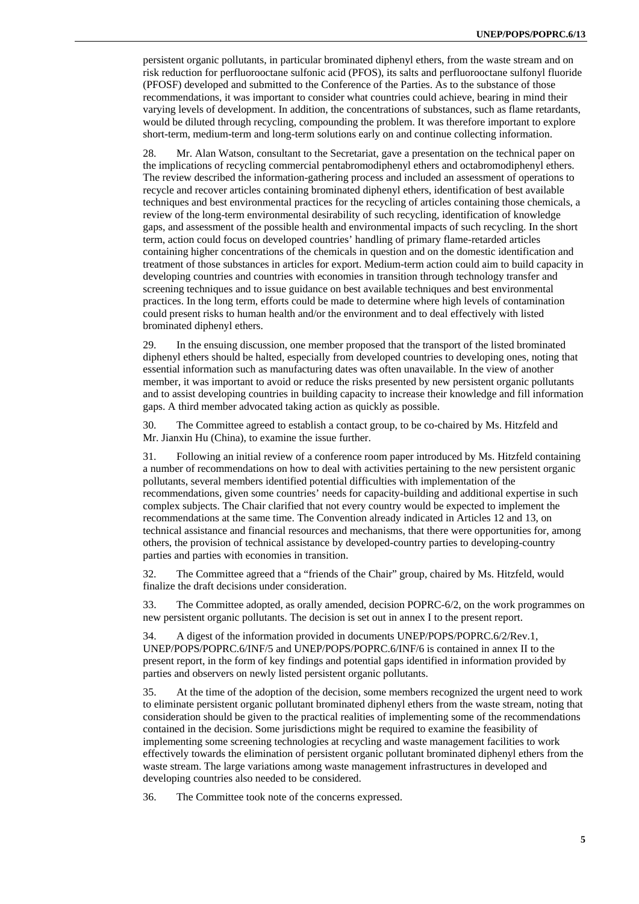persistent organic pollutants, in particular brominated diphenyl ethers, from the waste stream and on risk reduction for perfluorooctane sulfonic acid (PFOS), its salts and perfluorooctane sulfonyl fluoride (PFOSF) developed and submitted to the Conference of the Parties. As to the substance of those recommendations, it was important to consider what countries could achieve, bearing in mind their varying levels of development. In addition, the concentrations of substances, such as flame retardants, would be diluted through recycling, compounding the problem. It was therefore important to explore short-term, medium-term and long-term solutions early on and continue collecting information.

28. Mr. Alan Watson, consultant to the Secretariat, gave a presentation on the technical paper on the implications of recycling commercial pentabromodiphenyl ethers and octabromodiphenyl ethers. The review described the information-gathering process and included an assessment of operations to recycle and recover articles containing brominated diphenyl ethers, identification of best available techniques and best environmental practices for the recycling of articles containing those chemicals, a review of the long-term environmental desirability of such recycling, identification of knowledge gaps, and assessment of the possible health and environmental impacts of such recycling. In the short term, action could focus on developed countries' handling of primary flame-retarded articles containing higher concentrations of the chemicals in question and on the domestic identification and treatment of those substances in articles for export. Medium-term action could aim to build capacity in developing countries and countries with economies in transition through technology transfer and screening techniques and to issue guidance on best available techniques and best environmental practices. In the long term, efforts could be made to determine where high levels of contamination could present risks to human health and/or the environment and to deal effectively with listed brominated diphenyl ethers.

29. In the ensuing discussion, one member proposed that the transport of the listed brominated diphenyl ethers should be halted, especially from developed countries to developing ones, noting that essential information such as manufacturing dates was often unavailable. In the view of another member, it was important to avoid or reduce the risks presented by new persistent organic pollutants and to assist developing countries in building capacity to increase their knowledge and fill information gaps. A third member advocated taking action as quickly as possible.

30. The Committee agreed to establish a contact group, to be co-chaired by Ms. Hitzfeld and Mr. Jianxin Hu (China), to examine the issue further.

31. Following an initial review of a conference room paper introduced by Ms. Hitzfeld containing a number of recommendations on how to deal with activities pertaining to the new persistent organic pollutants, several members identified potential difficulties with implementation of the recommendations, given some countries' needs for capacity-building and additional expertise in such complex subjects. The Chair clarified that not every country would be expected to implement the recommendations at the same time. The Convention already indicated in Articles 12 and 13, on technical assistance and financial resources and mechanisms, that there were opportunities for, among others, the provision of technical assistance by developed-country parties to developing-country parties and parties with economies in transition.

32. The Committee agreed that a "friends of the Chair" group, chaired by Ms. Hitzfeld, would finalize the draft decisions under consideration.

33. The Committee adopted, as orally amended, decision POPRC-6/2, on the work programmes on new persistent organic pollutants. The decision is set out in annex I to the present report.

34. A digest of the information provided in documents UNEP/POPS/POPRC.6/2/Rev.1, UNEP/POPS/POPRC.6/INF/5 and UNEP/POPS/POPRC.6/INF/6 is contained in annex II to the present report, in the form of key findings and potential gaps identified in information provided by parties and observers on newly listed persistent organic pollutants.

35. At the time of the adoption of the decision, some members recognized the urgent need to work to eliminate persistent organic pollutant brominated diphenyl ethers from the waste stream, noting that consideration should be given to the practical realities of implementing some of the recommendations contained in the decision. Some jurisdictions might be required to examine the feasibility of implementing some screening technologies at recycling and waste management facilities to work effectively towards the elimination of persistent organic pollutant brominated diphenyl ethers from the waste stream. The large variations among waste management infrastructures in developed and developing countries also needed to be considered.

36. The Committee took note of the concerns expressed.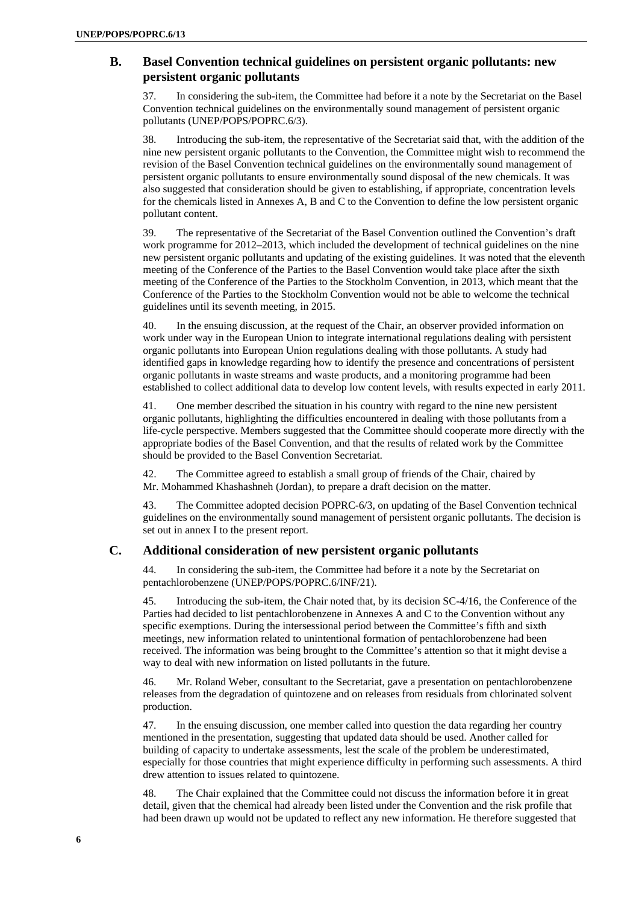# **B. Basel Convention technical guidelines on persistent organic pollutants: new persistent organic pollutants**

In considering the sub-item, the Committee had before it a note by the Secretariat on the Basel Convention technical guidelines on the environmentally sound management of persistent organic pollutants (UNEP/POPS/POPRC.6/3).

38. Introducing the sub-item, the representative of the Secretariat said that, with the addition of the nine new persistent organic pollutants to the Convention, the Committee might wish to recommend the revision of the Basel Convention technical guidelines on the environmentally sound management of persistent organic pollutants to ensure environmentally sound disposal of the new chemicals. It was also suggested that consideration should be given to establishing, if appropriate, concentration levels for the chemicals listed in Annexes A, B and C to the Convention to define the low persistent organic pollutant content.

39. The representative of the Secretariat of the Basel Convention outlined the Convention's draft work programme for 2012–2013, which included the development of technical guidelines on the nine new persistent organic pollutants and updating of the existing guidelines. It was noted that the eleventh meeting of the Conference of the Parties to the Basel Convention would take place after the sixth meeting of the Conference of the Parties to the Stockholm Convention, in 2013, which meant that the Conference of the Parties to the Stockholm Convention would not be able to welcome the technical guidelines until its seventh meeting, in 2015.

40. In the ensuing discussion, at the request of the Chair, an observer provided information on work under way in the European Union to integrate international regulations dealing with persistent organic pollutants into European Union regulations dealing with those pollutants. A study had identified gaps in knowledge regarding how to identify the presence and concentrations of persistent organic pollutants in waste streams and waste products, and a monitoring programme had been established to collect additional data to develop low content levels, with results expected in early 2011.

41. One member described the situation in his country with regard to the nine new persistent organic pollutants, highlighting the difficulties encountered in dealing with those pollutants from a life-cycle perspective. Members suggested that the Committee should cooperate more directly with the appropriate bodies of the Basel Convention, and that the results of related work by the Committee should be provided to the Basel Convention Secretariat.

42. The Committee agreed to establish a small group of friends of the Chair, chaired by Mr. Mohammed Khashashneh (Jordan), to prepare a draft decision on the matter.

43. The Committee adopted decision POPRC-6/3, on updating of the Basel Convention technical guidelines on the environmentally sound management of persistent organic pollutants. The decision is set out in annex I to the present report.

# **C. Additional consideration of new persistent organic pollutants**

44. In considering the sub-item, the Committee had before it a note by the Secretariat on pentachlorobenzene (UNEP/POPS/POPRC.6/INF/21).

45. Introducing the sub-item, the Chair noted that, by its decision SC-4/16, the Conference of the Parties had decided to list pentachlorobenzene in Annexes A and C to the Convention without any specific exemptions. During the intersessional period between the Committee's fifth and sixth meetings, new information related to unintentional formation of pentachlorobenzene had been received. The information was being brought to the Committee's attention so that it might devise a way to deal with new information on listed pollutants in the future.

46. Mr. Roland Weber, consultant to the Secretariat, gave a presentation on pentachlorobenzene releases from the degradation of quintozene and on releases from residuals from chlorinated solvent production.

47. In the ensuing discussion, one member called into question the data regarding her country mentioned in the presentation, suggesting that updated data should be used. Another called for building of capacity to undertake assessments, lest the scale of the problem be underestimated, especially for those countries that might experience difficulty in performing such assessments. A third drew attention to issues related to quintozene.

48. The Chair explained that the Committee could not discuss the information before it in great detail, given that the chemical had already been listed under the Convention and the risk profile that had been drawn up would not be updated to reflect any new information. He therefore suggested that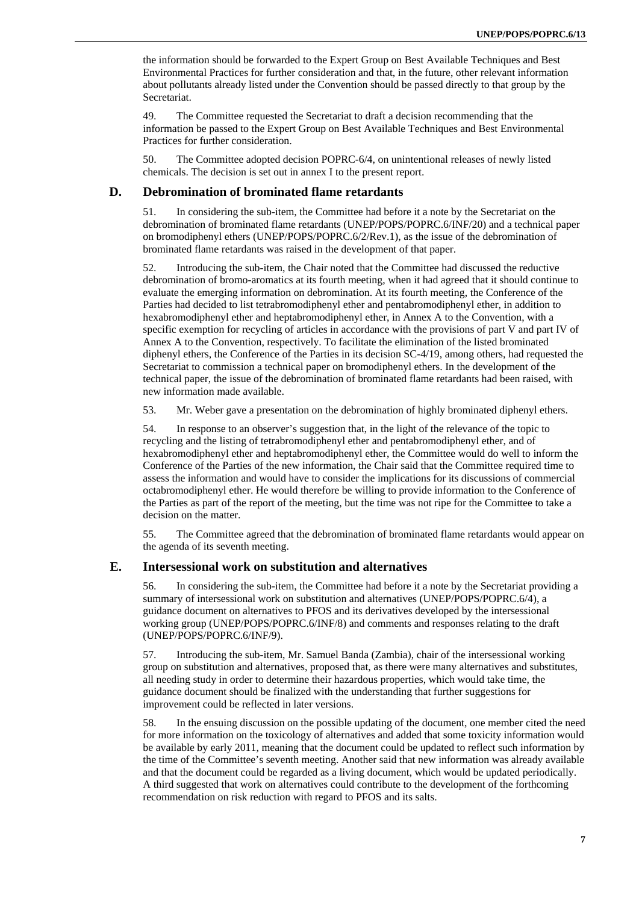the information should be forwarded to the Expert Group on Best Available Techniques and Best Environmental Practices for further consideration and that, in the future, other relevant information about pollutants already listed under the Convention should be passed directly to that group by the Secretariat.

49. The Committee requested the Secretariat to draft a decision recommending that the information be passed to the Expert Group on Best Available Techniques and Best Environmental Practices for further consideration.

50. The Committee adopted decision POPRC-6/4, on unintentional releases of newly listed chemicals. The decision is set out in annex I to the present report.

#### **D. Debromination of brominated flame retardants**

51. In considering the sub-item, the Committee had before it a note by the Secretariat on the debromination of brominated flame retardants (UNEP/POPS/POPRC.6/INF/20) and a technical paper on bromodiphenyl ethers (UNEP/POPS/POPRC.6/2/Rev.1), as the issue of the debromination of brominated flame retardants was raised in the development of that paper.

52. Introducing the sub-item, the Chair noted that the Committee had discussed the reductive debromination of bromo-aromatics at its fourth meeting, when it had agreed that it should continue to evaluate the emerging information on debromination. At its fourth meeting, the Conference of the Parties had decided to list tetrabromodiphenyl ether and pentabromodiphenyl ether, in addition to hexabromodiphenyl ether and heptabromodiphenyl ether, in Annex A to the Convention, with a specific exemption for recycling of articles in accordance with the provisions of part V and part IV of Annex A to the Convention, respectively. To facilitate the elimination of the listed brominated diphenyl ethers, the Conference of the Parties in its decision SC-4/19, among others, had requested the Secretariat to commission a technical paper on bromodiphenyl ethers. In the development of the technical paper, the issue of the debromination of brominated flame retardants had been raised, with new information made available.

53. Mr. Weber gave a presentation on the debromination of highly brominated diphenyl ethers.

54. In response to an observer's suggestion that, in the light of the relevance of the topic to recycling and the listing of tetrabromodiphenyl ether and pentabromodiphenyl ether, and of hexabromodiphenyl ether and heptabromodiphenyl ether, the Committee would do well to inform the Conference of the Parties of the new information, the Chair said that the Committee required time to assess the information and would have to consider the implications for its discussions of commercial octabromodiphenyl ether. He would therefore be willing to provide information to the Conference of the Parties as part of the report of the meeting, but the time was not ripe for the Committee to take a decision on the matter.

55. The Committee agreed that the debromination of brominated flame retardants would appear on the agenda of its seventh meeting.

#### **E. Intersessional work on substitution and alternatives**

56. In considering the sub-item, the Committee had before it a note by the Secretariat providing a summary of intersessional work on substitution and alternatives (UNEP/POPS/POPRC.6/4), a guidance document on alternatives to PFOS and its derivatives developed by the intersessional working group (UNEP/POPS/POPRC.6/INF/8) and comments and responses relating to the draft (UNEP/POPS/POPRC.6/INF/9).

57. Introducing the sub-item, Mr. Samuel Banda (Zambia), chair of the intersessional working group on substitution and alternatives, proposed that, as there were many alternatives and substitutes, all needing study in order to determine their hazardous properties, which would take time, the guidance document should be finalized with the understanding that further suggestions for improvement could be reflected in later versions.

58. In the ensuing discussion on the possible updating of the document, one member cited the need for more information on the toxicology of alternatives and added that some toxicity information would be available by early 2011, meaning that the document could be updated to reflect such information by the time of the Committee's seventh meeting. Another said that new information was already available and that the document could be regarded as a living document, which would be updated periodically. A third suggested that work on alternatives could contribute to the development of the forthcoming recommendation on risk reduction with regard to PFOS and its salts.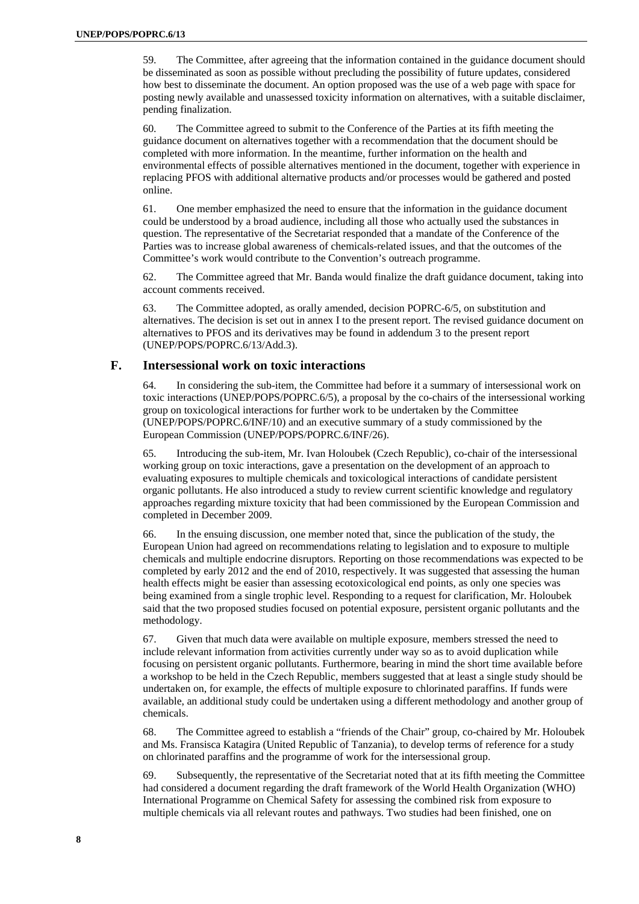59. The Committee, after agreeing that the information contained in the guidance document should be disseminated as soon as possible without precluding the possibility of future updates, considered how best to disseminate the document. An option proposed was the use of a web page with space for posting newly available and unassessed toxicity information on alternatives, with a suitable disclaimer, pending finalization.

60. The Committee agreed to submit to the Conference of the Parties at its fifth meeting the guidance document on alternatives together with a recommendation that the document should be completed with more information. In the meantime, further information on the health and environmental effects of possible alternatives mentioned in the document, together with experience in replacing PFOS with additional alternative products and/or processes would be gathered and posted online.

61. One member emphasized the need to ensure that the information in the guidance document could be understood by a broad audience, including all those who actually used the substances in question. The representative of the Secretariat responded that a mandate of the Conference of the Parties was to increase global awareness of chemicals-related issues, and that the outcomes of the Committee's work would contribute to the Convention's outreach programme.

62. The Committee agreed that Mr. Banda would finalize the draft guidance document, taking into account comments received.

63. The Committee adopted, as orally amended, decision POPRC-6/5, on substitution and alternatives. The decision is set out in annex I to the present report. The revised guidance document on alternatives to PFOS and its derivatives may be found in addendum 3 to the present report (UNEP/POPS/POPRC.6/13/Add.3).

# **F. Intersessional work on toxic interactions**

64. In considering the sub-item, the Committee had before it a summary of intersessional work on toxic interactions (UNEP/POPS/POPRC.6/5), a proposal by the co-chairs of the intersessional working group on toxicological interactions for further work to be undertaken by the Committee (UNEP/POPS/POPRC.6/INF/10) and an executive summary of a study commissioned by the European Commission (UNEP/POPS/POPRC.6/INF/26).

65. Introducing the sub-item, Mr. Ivan Holoubek (Czech Republic), co-chair of the intersessional working group on toxic interactions, gave a presentation on the development of an approach to evaluating exposures to multiple chemicals and toxicological interactions of candidate persistent organic pollutants. He also introduced a study to review current scientific knowledge and regulatory approaches regarding mixture toxicity that had been commissioned by the European Commission and completed in December 2009.

66. In the ensuing discussion, one member noted that, since the publication of the study, the European Union had agreed on recommendations relating to legislation and to exposure to multiple chemicals and multiple endocrine disruptors. Reporting on those recommendations was expected to be completed by early 2012 and the end of 2010, respectively. It was suggested that assessing the human health effects might be easier than assessing ecotoxicological end points, as only one species was being examined from a single trophic level. Responding to a request for clarification, Mr. Holoubek said that the two proposed studies focused on potential exposure, persistent organic pollutants and the methodology.

67. Given that much data were available on multiple exposure, members stressed the need to include relevant information from activities currently under way so as to avoid duplication while focusing on persistent organic pollutants. Furthermore, bearing in mind the short time available before a workshop to be held in the Czech Republic, members suggested that at least a single study should be undertaken on, for example, the effects of multiple exposure to chlorinated paraffins. If funds were available, an additional study could be undertaken using a different methodology and another group of chemicals.

68. The Committee agreed to establish a "friends of the Chair" group, co-chaired by Mr. Holoubek and Ms. Fransisca Katagira (United Republic of Tanzania), to develop terms of reference for a study on chlorinated paraffins and the programme of work for the intersessional group.

69. Subsequently, the representative of the Secretariat noted that at its fifth meeting the Committee had considered a document regarding the draft framework of the World Health Organization (WHO) International Programme on Chemical Safety for assessing the combined risk from exposure to multiple chemicals via all relevant routes and pathways. Two studies had been finished, one on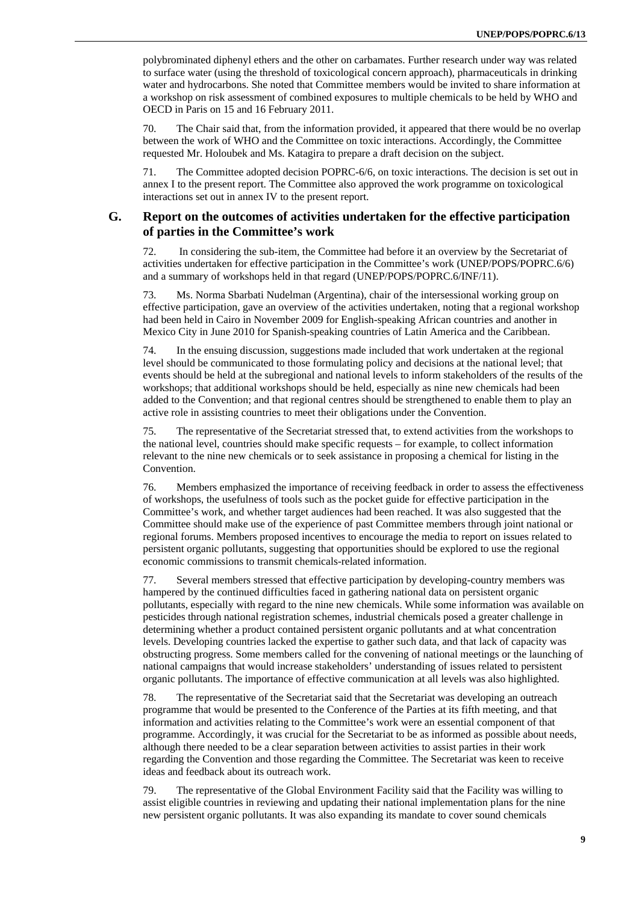polybrominated diphenyl ethers and the other on carbamates. Further research under way was related to surface water (using the threshold of toxicological concern approach), pharmaceuticals in drinking water and hydrocarbons. She noted that Committee members would be invited to share information at a workshop on risk assessment of combined exposures to multiple chemicals to be held by WHO and OECD in Paris on 15 and 16 February 2011.

70. The Chair said that, from the information provided, it appeared that there would be no overlap between the work of WHO and the Committee on toxic interactions. Accordingly, the Committee requested Mr. Holoubek and Ms. Katagira to prepare a draft decision on the subject.

71. The Committee adopted decision POPRC-6/6, on toxic interactions. The decision is set out in annex I to the present report. The Committee also approved the work programme on toxicological interactions set out in annex IV to the present report.

### **G. Report on the outcomes of activities undertaken for the effective participation of parties in the Committee's work**

72. In considering the sub-item, the Committee had before it an overview by the Secretariat of activities undertaken for effective participation in the Committee's work (UNEP/POPS/POPRC.6/6) and a summary of workshops held in that regard (UNEP/POPS/POPRC.6/INF/11).

73. Ms. Norma Sbarbati Nudelman (Argentina), chair of the intersessional working group on effective participation, gave an overview of the activities undertaken, noting that a regional workshop had been held in Cairo in November 2009 for English-speaking African countries and another in Mexico City in June 2010 for Spanish-speaking countries of Latin America and the Caribbean.

74. In the ensuing discussion, suggestions made included that work undertaken at the regional level should be communicated to those formulating policy and decisions at the national level; that events should be held at the subregional and national levels to inform stakeholders of the results of the workshops; that additional workshops should be held, especially as nine new chemicals had been added to the Convention; and that regional centres should be strengthened to enable them to play an active role in assisting countries to meet their obligations under the Convention.

75. The representative of the Secretariat stressed that, to extend activities from the workshops to the national level, countries should make specific requests – for example, to collect information relevant to the nine new chemicals or to seek assistance in proposing a chemical for listing in the Convention.

76. Members emphasized the importance of receiving feedback in order to assess the effectiveness of workshops, the usefulness of tools such as the pocket guide for effective participation in the Committee's work, and whether target audiences had been reached. It was also suggested that the Committee should make use of the experience of past Committee members through joint national or regional forums. Members proposed incentives to encourage the media to report on issues related to persistent organic pollutants, suggesting that opportunities should be explored to use the regional economic commissions to transmit chemicals-related information.

77. Several members stressed that effective participation by developing-country members was hampered by the continued difficulties faced in gathering national data on persistent organic pollutants, especially with regard to the nine new chemicals. While some information was available on pesticides through national registration schemes, industrial chemicals posed a greater challenge in determining whether a product contained persistent organic pollutants and at what concentration levels. Developing countries lacked the expertise to gather such data, and that lack of capacity was obstructing progress. Some members called for the convening of national meetings or the launching of national campaigns that would increase stakeholders' understanding of issues related to persistent organic pollutants. The importance of effective communication at all levels was also highlighted.

78. The representative of the Secretariat said that the Secretariat was developing an outreach programme that would be presented to the Conference of the Parties at its fifth meeting, and that information and activities relating to the Committee's work were an essential component of that programme. Accordingly, it was crucial for the Secretariat to be as informed as possible about needs, although there needed to be a clear separation between activities to assist parties in their work regarding the Convention and those regarding the Committee. The Secretariat was keen to receive ideas and feedback about its outreach work.

79. The representative of the Global Environment Facility said that the Facility was willing to assist eligible countries in reviewing and updating their national implementation plans for the nine new persistent organic pollutants. It was also expanding its mandate to cover sound chemicals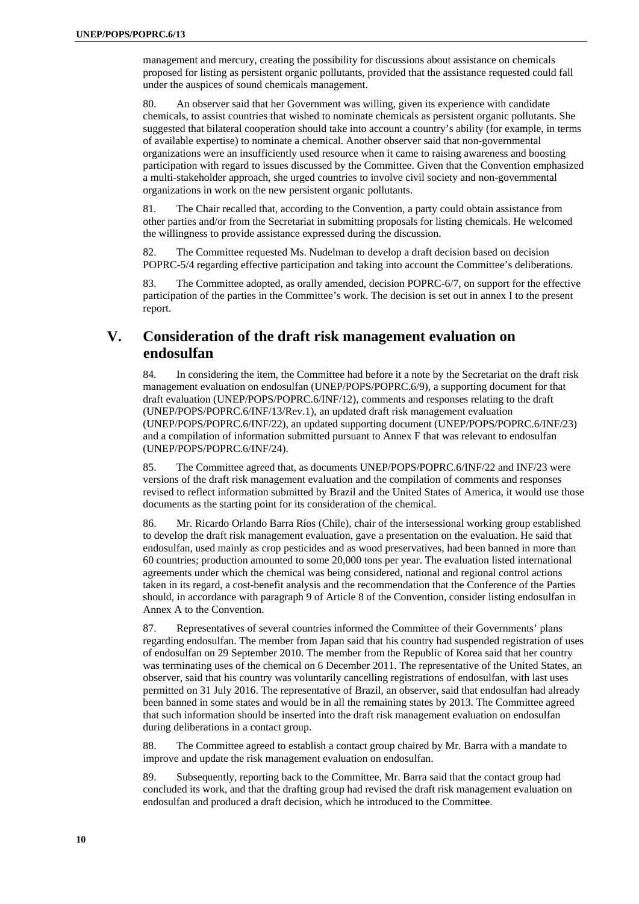management and mercury, creating the possibility for discussions about assistance on chemicals proposed for listing as persistent organic pollutants, provided that the assistance requested could fall under the auspices of sound chemicals management.

80. An observer said that her Government was willing, given its experience with candidate chemicals, to assist countries that wished to nominate chemicals as persistent organic pollutants. She suggested that bilateral cooperation should take into account a country's ability (for example, in terms of available expertise) to nominate a chemical. Another observer said that non-governmental organizations were an insufficiently used resource when it came to raising awareness and boosting participation with regard to issues discussed by the Committee. Given that the Convention emphasized a multi-stakeholder approach, she urged countries to involve civil society and non-governmental organizations in work on the new persistent organic pollutants.

81. The Chair recalled that, according to the Convention, a party could obtain assistance from other parties and/or from the Secretariat in submitting proposals for listing chemicals. He welcomed the willingness to provide assistance expressed during the discussion.

82. The Committee requested Ms. Nudelman to develop a draft decision based on decision POPRC-5/4 regarding effective participation and taking into account the Committee's deliberations.

83. The Committee adopted, as orally amended, decision POPRC-6/7, on support for the effective participation of the parties in the Committee's work. The decision is set out in annex I to the present report.

# **V. Consideration of the draft risk management evaluation on endosulfan**

84. In considering the item, the Committee had before it a note by the Secretariat on the draft risk management evaluation on endosulfan (UNEP/POPS/POPRC.6/9), a supporting document for that draft evaluation (UNEP/POPS/POPRC.6/INF/12), comments and responses relating to the draft (UNEP/POPS/POPRC.6/INF/13/Rev.1), an updated draft risk management evaluation (UNEP/POPS/POPRC.6/INF/22), an updated supporting document (UNEP/POPS/POPRC.6/INF/23) and a compilation of information submitted pursuant to Annex F that was relevant to endosulfan (UNEP/POPS/POPRC.6/INF/24).

85. The Committee agreed that, as documents UNEP/POPS/POPRC.6/INF/22 and INF/23 were versions of the draft risk management evaluation and the compilation of comments and responses revised to reflect information submitted by Brazil and the United States of America, it would use those documents as the starting point for its consideration of the chemical.

86. Mr. Ricardo Orlando Barra Ríos (Chile), chair of the intersessional working group established to develop the draft risk management evaluation, gave a presentation on the evaluation. He said that endosulfan, used mainly as crop pesticides and as wood preservatives, had been banned in more than 60 countries; production amounted to some 20,000 tons per year. The evaluation listed international agreements under which the chemical was being considered, national and regional control actions taken in its regard, a cost-benefit analysis and the recommendation that the Conference of the Parties should, in accordance with paragraph 9 of Article 8 of the Convention, consider listing endosulfan in Annex A to the Convention.

87. Representatives of several countries informed the Committee of their Governments' plans regarding endosulfan. The member from Japan said that his country had suspended registration of uses of endosulfan on 29 September 2010. The member from the Republic of Korea said that her country was terminating uses of the chemical on 6 December 2011. The representative of the United States, an observer, said that his country was voluntarily cancelling registrations of endosulfan, with last uses permitted on 31 July 2016. The representative of Brazil, an observer, said that endosulfan had already been banned in some states and would be in all the remaining states by 2013. The Committee agreed that such information should be inserted into the draft risk management evaluation on endosulfan during deliberations in a contact group.

88. The Committee agreed to establish a contact group chaired by Mr. Barra with a mandate to improve and update the risk management evaluation on endosulfan.

89. Subsequently, reporting back to the Committee, Mr. Barra said that the contact group had concluded its work, and that the drafting group had revised the draft risk management evaluation on endosulfan and produced a draft decision, which he introduced to the Committee.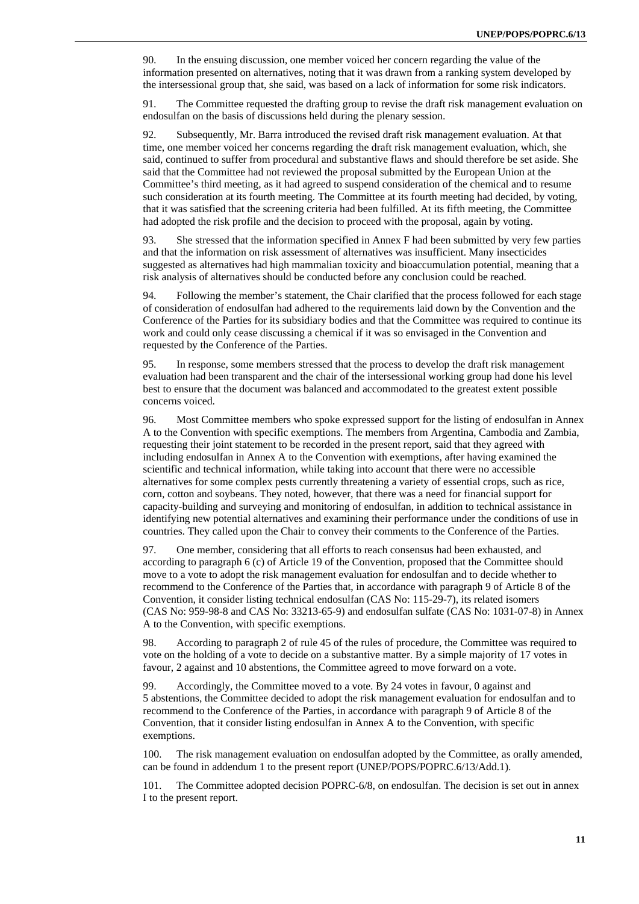90. In the ensuing discussion, one member voiced her concern regarding the value of the information presented on alternatives, noting that it was drawn from a ranking system developed by the intersessional group that, she said, was based on a lack of information for some risk indicators.

91. The Committee requested the drafting group to revise the draft risk management evaluation on endosulfan on the basis of discussions held during the plenary session.

92. Subsequently, Mr. Barra introduced the revised draft risk management evaluation. At that time, one member voiced her concerns regarding the draft risk management evaluation, which, she said, continued to suffer from procedural and substantive flaws and should therefore be set aside. She said that the Committee had not reviewed the proposal submitted by the European Union at the Committee's third meeting, as it had agreed to suspend consideration of the chemical and to resume such consideration at its fourth meeting. The Committee at its fourth meeting had decided, by voting, that it was satisfied that the screening criteria had been fulfilled. At its fifth meeting, the Committee had adopted the risk profile and the decision to proceed with the proposal, again by voting.

93. She stressed that the information specified in Annex F had been submitted by very few parties and that the information on risk assessment of alternatives was insufficient. Many insecticides suggested as alternatives had high mammalian toxicity and bioaccumulation potential, meaning that a risk analysis of alternatives should be conducted before any conclusion could be reached.

94. Following the member's statement, the Chair clarified that the process followed for each stage of consideration of endosulfan had adhered to the requirements laid down by the Convention and the Conference of the Parties for its subsidiary bodies and that the Committee was required to continue its work and could only cease discussing a chemical if it was so envisaged in the Convention and requested by the Conference of the Parties.

95. In response, some members stressed that the process to develop the draft risk management evaluation had been transparent and the chair of the intersessional working group had done his level best to ensure that the document was balanced and accommodated to the greatest extent possible concerns voiced.

96. Most Committee members who spoke expressed support for the listing of endosulfan in Annex A to the Convention with specific exemptions. The members from Argentina, Cambodia and Zambia, requesting their joint statement to be recorded in the present report, said that they agreed with including endosulfan in Annex A to the Convention with exemptions, after having examined the scientific and technical information, while taking into account that there were no accessible alternatives for some complex pests currently threatening a variety of essential crops, such as rice, corn, cotton and soybeans. They noted, however, that there was a need for financial support for capacity-building and surveying and monitoring of endosulfan, in addition to technical assistance in identifying new potential alternatives and examining their performance under the conditions of use in countries. They called upon the Chair to convey their comments to the Conference of the Parties.

97. One member, considering that all efforts to reach consensus had been exhausted, and according to paragraph 6 (c) of Article 19 of the Convention, proposed that the Committee should move to a vote to adopt the risk management evaluation for endosulfan and to decide whether to recommend to the Conference of the Parties that, in accordance with paragraph 9 of Article 8 of the Convention, it consider listing technical endosulfan (CAS No: 115-29-7), its related isomers (CAS No: 959-98-8 and CAS No: 33213-65-9) and endosulfan sulfate (CAS No: 1031-07-8) in Annex A to the Convention, with specific exemptions.

98. According to paragraph 2 of rule 45 of the rules of procedure, the Committee was required to vote on the holding of a vote to decide on a substantive matter. By a simple majority of 17 votes in favour, 2 against and 10 abstentions, the Committee agreed to move forward on a vote.

99. Accordingly, the Committee moved to a vote. By 24 votes in favour, 0 against and 5 abstentions, the Committee decided to adopt the risk management evaluation for endosulfan and to recommend to the Conference of the Parties, in accordance with paragraph 9 of Article 8 of the Convention, that it consider listing endosulfan in Annex A to the Convention, with specific exemptions.

100. The risk management evaluation on endosulfan adopted by the Committee, as orally amended, can be found in addendum 1 to the present report (UNEP/POPS/POPRC.6/13/Add.1).

101. The Committee adopted decision POPRC-6/8, on endosulfan. The decision is set out in annex I to the present report.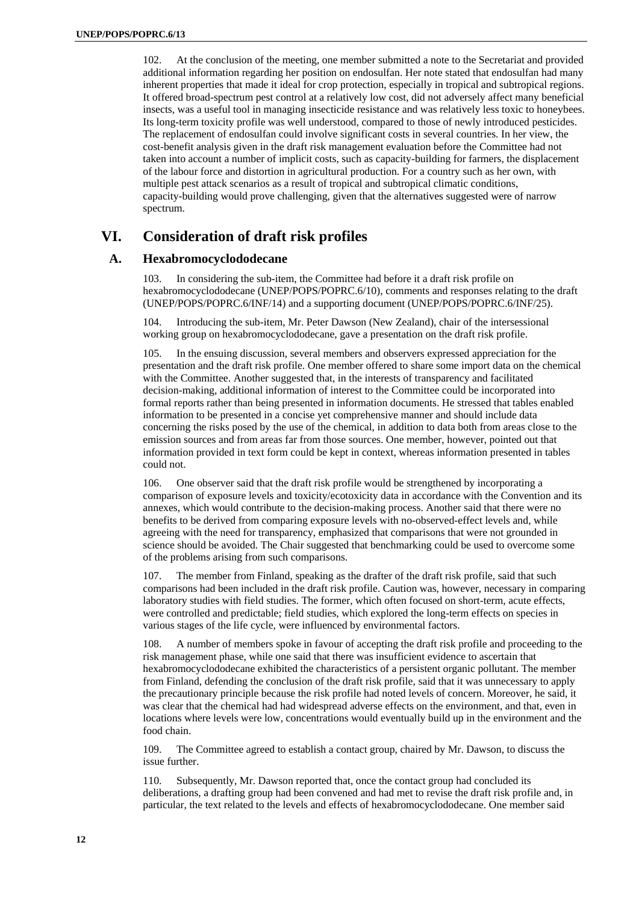102. At the conclusion of the meeting, one member submitted a note to the Secretariat and provided additional information regarding her position on endosulfan. Her note stated that endosulfan had many inherent properties that made it ideal for crop protection, especially in tropical and subtropical regions. It offered broad-spectrum pest control at a relatively low cost, did not adversely affect many beneficial insects, was a useful tool in managing insecticide resistance and was relatively less toxic to honeybees. Its long-term toxicity profile was well understood, compared to those of newly introduced pesticides. The replacement of endosulfan could involve significant costs in several countries. In her view, the cost-benefit analysis given in the draft risk management evaluation before the Committee had not taken into account a number of implicit costs, such as capacity-building for farmers, the displacement of the labour force and distortion in agricultural production. For a country such as her own, with multiple pest attack scenarios as a result of tropical and subtropical climatic conditions, capacity-building would prove challenging, given that the alternatives suggested were of narrow spectrum.

# **VI. Consideration of draft risk profiles**

### **A. Hexabromocyclododecane**

103. In considering the sub-item, the Committee had before it a draft risk profile on hexabromocyclododecane (UNEP/POPS/POPRC.6/10), comments and responses relating to the draft (UNEP/POPS/POPRC.6/INF/14) and a supporting document (UNEP/POPS/POPRC.6/INF/25).

104. Introducing the sub-item, Mr. Peter Dawson (New Zealand), chair of the intersessional working group on hexabromocyclododecane, gave a presentation on the draft risk profile.

105. In the ensuing discussion, several members and observers expressed appreciation for the presentation and the draft risk profile. One member offered to share some import data on the chemical with the Committee. Another suggested that, in the interests of transparency and facilitated decision-making, additional information of interest to the Committee could be incorporated into formal reports rather than being presented in information documents. He stressed that tables enabled information to be presented in a concise yet comprehensive manner and should include data concerning the risks posed by the use of the chemical, in addition to data both from areas close to the emission sources and from areas far from those sources. One member, however, pointed out that information provided in text form could be kept in context, whereas information presented in tables could not.

106. One observer said that the draft risk profile would be strengthened by incorporating a comparison of exposure levels and toxicity/ecotoxicity data in accordance with the Convention and its annexes, which would contribute to the decision-making process. Another said that there were no benefits to be derived from comparing exposure levels with no-observed-effect levels and, while agreeing with the need for transparency, emphasized that comparisons that were not grounded in science should be avoided. The Chair suggested that benchmarking could be used to overcome some of the problems arising from such comparisons.

107. The member from Finland, speaking as the drafter of the draft risk profile, said that such comparisons had been included in the draft risk profile. Caution was, however, necessary in comparing laboratory studies with field studies. The former, which often focused on short-term, acute effects, were controlled and predictable; field studies, which explored the long-term effects on species in various stages of the life cycle, were influenced by environmental factors.

108. A number of members spoke in favour of accepting the draft risk profile and proceeding to the risk management phase, while one said that there was insufficient evidence to ascertain that hexabromocyclododecane exhibited the characteristics of a persistent organic pollutant. The member from Finland, defending the conclusion of the draft risk profile, said that it was unnecessary to apply the precautionary principle because the risk profile had noted levels of concern. Moreover, he said, it was clear that the chemical had had widespread adverse effects on the environment, and that, even in locations where levels were low, concentrations would eventually build up in the environment and the food chain.

109. The Committee agreed to establish a contact group, chaired by Mr. Dawson, to discuss the issue further.

110. Subsequently, Mr. Dawson reported that, once the contact group had concluded its deliberations, a drafting group had been convened and had met to revise the draft risk profile and, in particular, the text related to the levels and effects of hexabromocyclododecane. One member said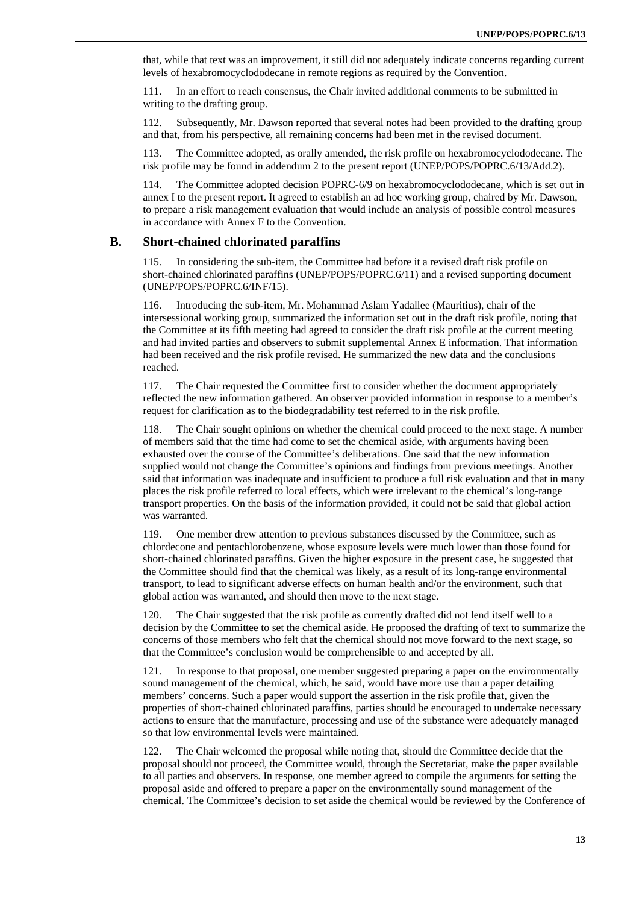that, while that text was an improvement, it still did not adequately indicate concerns regarding current levels of hexabromocyclododecane in remote regions as required by the Convention.

111. In an effort to reach consensus, the Chair invited additional comments to be submitted in writing to the drafting group.

112. Subsequently, Mr. Dawson reported that several notes had been provided to the drafting group and that, from his perspective, all remaining concerns had been met in the revised document.

113. The Committee adopted, as orally amended, the risk profile on hexabromocyclododecane. The risk profile may be found in addendum 2 to the present report (UNEP/POPS/POPRC.6/13/Add.2).

114. The Committee adopted decision POPRC-6/9 on hexabromocyclododecane, which is set out in annex I to the present report. It agreed to establish an ad hoc working group, chaired by Mr. Dawson, to prepare a risk management evaluation that would include an analysis of possible control measures in accordance with Annex F to the Convention.

#### **B. Short-chained chlorinated paraffins**

In considering the sub-item, the Committee had before it a revised draft risk profile on short-chained chlorinated paraffins (UNEP/POPS/POPRC.6/11) and a revised supporting document (UNEP/POPS/POPRC.6/INF/15).

116. Introducing the sub-item, Mr. Mohammad Aslam Yadallee (Mauritius), chair of the intersessional working group, summarized the information set out in the draft risk profile, noting that the Committee at its fifth meeting had agreed to consider the draft risk profile at the current meeting and had invited parties and observers to submit supplemental Annex E information. That information had been received and the risk profile revised. He summarized the new data and the conclusions reached.

117. The Chair requested the Committee first to consider whether the document appropriately reflected the new information gathered. An observer provided information in response to a member's request for clarification as to the biodegradability test referred to in the risk profile.

118. The Chair sought opinions on whether the chemical could proceed to the next stage. A number of members said that the time had come to set the chemical aside, with arguments having been exhausted over the course of the Committee's deliberations. One said that the new information supplied would not change the Committee's opinions and findings from previous meetings. Another said that information was inadequate and insufficient to produce a full risk evaluation and that in many places the risk profile referred to local effects, which were irrelevant to the chemical's long-range transport properties. On the basis of the information provided, it could not be said that global action was warranted.

119. One member drew attention to previous substances discussed by the Committee, such as chlordecone and pentachlorobenzene, whose exposure levels were much lower than those found for short-chained chlorinated paraffins. Given the higher exposure in the present case, he suggested that the Committee should find that the chemical was likely, as a result of its long-range environmental transport, to lead to significant adverse effects on human health and/or the environment, such that global action was warranted, and should then move to the next stage.

120. The Chair suggested that the risk profile as currently drafted did not lend itself well to a decision by the Committee to set the chemical aside. He proposed the drafting of text to summarize the concerns of those members who felt that the chemical should not move forward to the next stage, so that the Committee's conclusion would be comprehensible to and accepted by all.

121. In response to that proposal, one member suggested preparing a paper on the environmentally sound management of the chemical, which, he said, would have more use than a paper detailing members' concerns. Such a paper would support the assertion in the risk profile that, given the properties of short-chained chlorinated paraffins, parties should be encouraged to undertake necessary actions to ensure that the manufacture, processing and use of the substance were adequately managed so that low environmental levels were maintained.

122. The Chair welcomed the proposal while noting that, should the Committee decide that the proposal should not proceed, the Committee would, through the Secretariat, make the paper available to all parties and observers. In response, one member agreed to compile the arguments for setting the proposal aside and offered to prepare a paper on the environmentally sound management of the chemical. The Committee's decision to set aside the chemical would be reviewed by the Conference of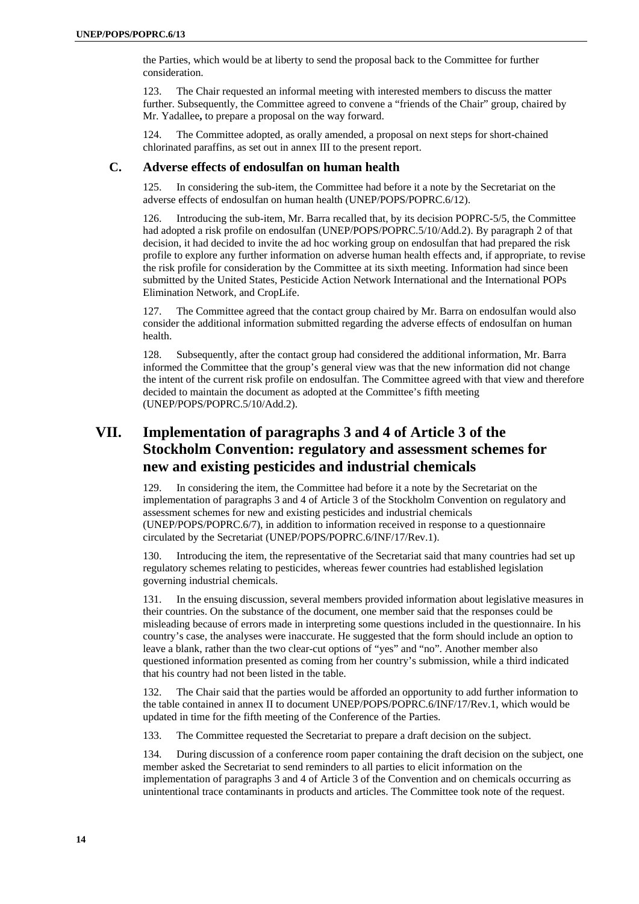the Parties, which would be at liberty to send the proposal back to the Committee for further consideration.

123. The Chair requested an informal meeting with interested members to discuss the matter further. Subsequently, the Committee agreed to convene a "friends of the Chair" group, chaired by Mr. Yadallee**,** to prepare a proposal on the way forward.

124. The Committee adopted, as orally amended, a proposal on next steps for short-chained chlorinated paraffins, as set out in annex III to the present report.

### **C. Adverse effects of endosulfan on human health**

In considering the sub-item, the Committee had before it a note by the Secretariat on the adverse effects of endosulfan on human health (UNEP/POPS/POPRC.6/12).

126. Introducing the sub-item, Mr. Barra recalled that, by its decision POPRC-5/5, the Committee had adopted a risk profile on endosulfan (UNEP/POPS/POPRC.5/10/Add.2). By paragraph 2 of that decision, it had decided to invite the ad hoc working group on endosulfan that had prepared the risk profile to explore any further information on adverse human health effects and, if appropriate, to revise the risk profile for consideration by the Committee at its sixth meeting. Information had since been submitted by the United States, Pesticide Action Network International and the International POPs Elimination Network, and CropLife.

127. The Committee agreed that the contact group chaired by Mr. Barra on endosulfan would also consider the additional information submitted regarding the adverse effects of endosulfan on human health.

128. Subsequently, after the contact group had considered the additional information, Mr. Barra informed the Committee that the group's general view was that the new information did not change the intent of the current risk profile on endosulfan. The Committee agreed with that view and therefore decided to maintain the document as adopted at the Committee's fifth meeting (UNEP/POPS/POPRC.5/10/Add.2).

# **VII. Implementation of paragraphs 3 and 4 of Article 3 of the Stockholm Convention: regulatory and assessment schemes for new and existing pesticides and industrial chemicals**

129. In considering the item, the Committee had before it a note by the Secretariat on the implementation of paragraphs 3 and 4 of Article 3 of the Stockholm Convention on regulatory and assessment schemes for new and existing pesticides and industrial chemicals (UNEP/POPS/POPRC.6/7), in addition to information received in response to a questionnaire circulated by the Secretariat (UNEP/POPS/POPRC.6/INF/17/Rev.1).

130. Introducing the item, the representative of the Secretariat said that many countries had set up regulatory schemes relating to pesticides, whereas fewer countries had established legislation governing industrial chemicals.

131. In the ensuing discussion, several members provided information about legislative measures in their countries. On the substance of the document, one member said that the responses could be misleading because of errors made in interpreting some questions included in the questionnaire. In his country's case, the analyses were inaccurate. He suggested that the form should include an option to leave a blank, rather than the two clear-cut options of "yes" and "no". Another member also questioned information presented as coming from her country's submission, while a third indicated that his country had not been listed in the table.

132. The Chair said that the parties would be afforded an opportunity to add further information to the table contained in annex II to document UNEP/POPS/POPRC.6/INF/17/Rev.1, which would be updated in time for the fifth meeting of the Conference of the Parties.

133. The Committee requested the Secretariat to prepare a draft decision on the subject.

134. During discussion of a conference room paper containing the draft decision on the subject, one member asked the Secretariat to send reminders to all parties to elicit information on the implementation of paragraphs 3 and 4 of Article 3 of the Convention and on chemicals occurring as unintentional trace contaminants in products and articles. The Committee took note of the request.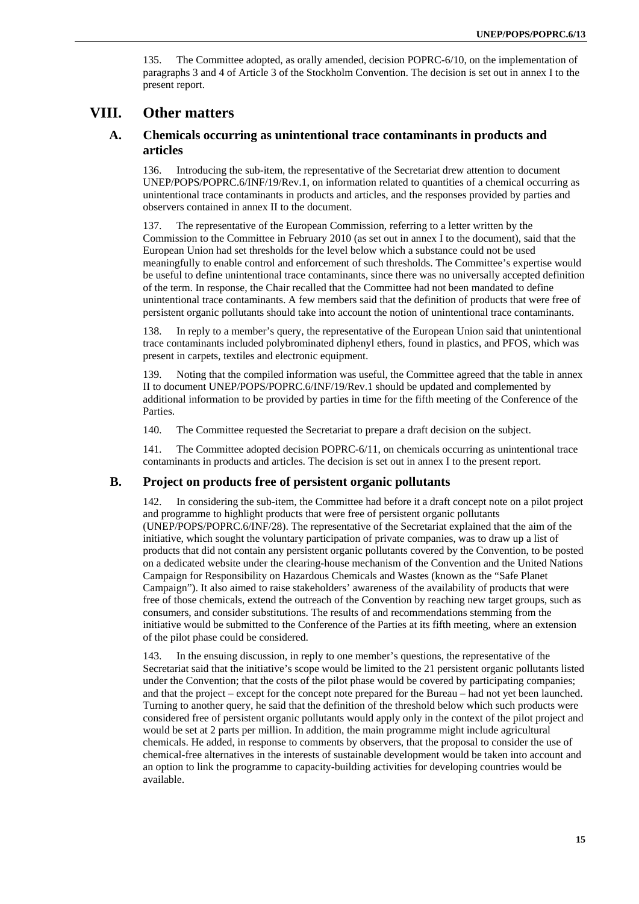135. The Committee adopted, as orally amended, decision POPRC-6/10, on the implementation of paragraphs 3 and 4 of Article 3 of the Stockholm Convention. The decision is set out in annex I to the present report.

# **VIII. Other matters**

### **A. Chemicals occurring as unintentional trace contaminants in products and articles**

136. Introducing the sub-item, the representative of the Secretariat drew attention to document UNEP/POPS/POPRC.6/INF/19/Rev.1, on information related to quantities of a chemical occurring as unintentional trace contaminants in products and articles, and the responses provided by parties and observers contained in annex II to the document.

137. The representative of the European Commission, referring to a letter written by the Commission to the Committee in February 2010 (as set out in annex I to the document), said that the European Union had set thresholds for the level below which a substance could not be used meaningfully to enable control and enforcement of such thresholds. The Committee's expertise would be useful to define unintentional trace contaminants, since there was no universally accepted definition of the term. In response, the Chair recalled that the Committee had not been mandated to define unintentional trace contaminants. A few members said that the definition of products that were free of persistent organic pollutants should take into account the notion of unintentional trace contaminants.

138. In reply to a member's query, the representative of the European Union said that unintentional trace contaminants included polybrominated diphenyl ethers, found in plastics, and PFOS, which was present in carpets, textiles and electronic equipment.

139. Noting that the compiled information was useful, the Committee agreed that the table in annex II to document UNEP/POPS/POPRC.6/INF/19/Rev.1 should be updated and complemented by additional information to be provided by parties in time for the fifth meeting of the Conference of the Parties.

140. The Committee requested the Secretariat to prepare a draft decision on the subject.

141. The Committee adopted decision POPRC-6/11, on chemicals occurring as unintentional trace contaminants in products and articles. The decision is set out in annex I to the present report.

#### **B. Project on products free of persistent organic pollutants**

142. In considering the sub-item, the Committee had before it a draft concept note on a pilot project and programme to highlight products that were free of persistent organic pollutants (UNEP/POPS/POPRC.6/INF/28). The representative of the Secretariat explained that the aim of the initiative, which sought the voluntary participation of private companies, was to draw up a list of products that did not contain any persistent organic pollutants covered by the Convention, to be posted on a dedicated website under the clearing-house mechanism of the Convention and the United Nations Campaign for Responsibility on Hazardous Chemicals and Wastes (known as the "Safe Planet Campaign"). It also aimed to raise stakeholders' awareness of the availability of products that were free of those chemicals, extend the outreach of the Convention by reaching new target groups, such as consumers, and consider substitutions. The results of and recommendations stemming from the initiative would be submitted to the Conference of the Parties at its fifth meeting, where an extension of the pilot phase could be considered.

143. In the ensuing discussion, in reply to one member's questions, the representative of the Secretariat said that the initiative's scope would be limited to the 21 persistent organic pollutants listed under the Convention; that the costs of the pilot phase would be covered by participating companies; and that the project – except for the concept note prepared for the Bureau – had not yet been launched. Turning to another query, he said that the definition of the threshold below which such products were considered free of persistent organic pollutants would apply only in the context of the pilot project and would be set at 2 parts per million. In addition, the main programme might include agricultural chemicals. He added, in response to comments by observers, that the proposal to consider the use of chemical-free alternatives in the interests of sustainable development would be taken into account and an option to link the programme to capacity-building activities for developing countries would be available.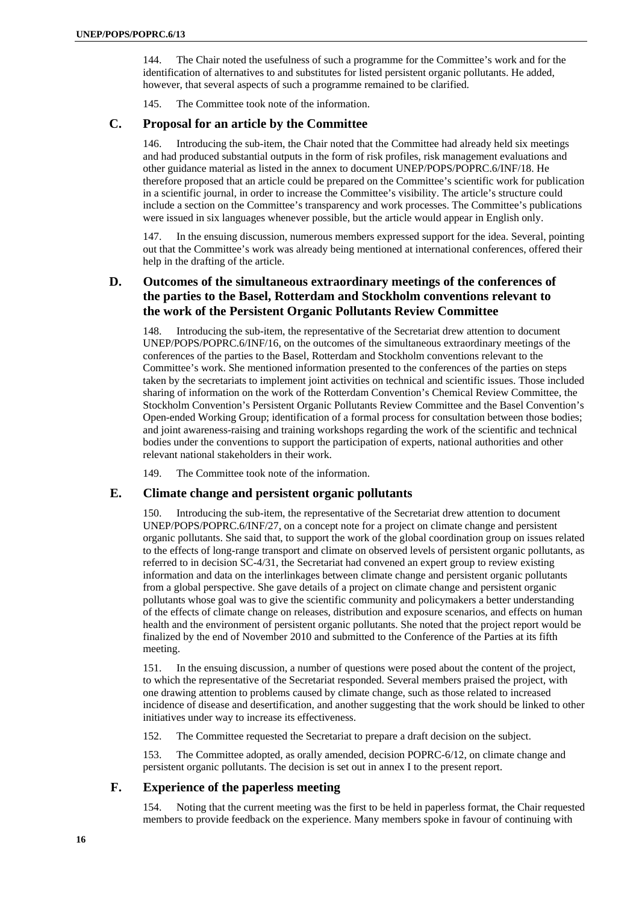144. The Chair noted the usefulness of such a programme for the Committee's work and for the identification of alternatives to and substitutes for listed persistent organic pollutants. He added, however, that several aspects of such a programme remained to be clarified.

145. The Committee took note of the information.

### **C. Proposal for an article by the Committee**

146. Introducing the sub-item, the Chair noted that the Committee had already held six meetings and had produced substantial outputs in the form of risk profiles, risk management evaluations and other guidance material as listed in the annex to document UNEP/POPS/POPRC.6/INF/18. He therefore proposed that an article could be prepared on the Committee's scientific work for publication in a scientific journal, in order to increase the Committee's visibility. The article's structure could include a section on the Committee's transparency and work processes. The Committee's publications were issued in six languages whenever possible, but the article would appear in English only.

147. In the ensuing discussion, numerous members expressed support for the idea. Several, pointing out that the Committee's work was already being mentioned at international conferences, offered their help in the drafting of the article.

# **D. Outcomes of the simultaneous extraordinary meetings of the conferences of the parties to the Basel, Rotterdam and Stockholm conventions relevant to the work of the Persistent Organic Pollutants Review Committee**

Introducing the sub-item, the representative of the Secretariat drew attention to document UNEP/POPS/POPRC.6/INF/16, on the outcomes of the simultaneous extraordinary meetings of the conferences of the parties to the Basel, Rotterdam and Stockholm conventions relevant to the Committee's work. She mentioned information presented to the conferences of the parties on steps taken by the secretariats to implement joint activities on technical and scientific issues. Those included sharing of information on the work of the Rotterdam Convention's Chemical Review Committee, the Stockholm Convention's Persistent Organic Pollutants Review Committee and the Basel Convention's Open-ended Working Group; identification of a formal process for consultation between those bodies; and joint awareness-raising and training workshops regarding the work of the scientific and technical bodies under the conventions to support the participation of experts, national authorities and other relevant national stakeholders in their work.

149. The Committee took note of the information.

### **E. Climate change and persistent organic pollutants**

150. Introducing the sub-item, the representative of the Secretariat drew attention to document UNEP/POPS/POPRC.6/INF/27, on a concept note for a project on climate change and persistent organic pollutants. She said that, to support the work of the global coordination group on issues related to the effects of long-range transport and climate on observed levels of persistent organic pollutants, as referred to in decision SC-4/31, the Secretariat had convened an expert group to review existing information and data on the interlinkages between climate change and persistent organic pollutants from a global perspective. She gave details of a project on climate change and persistent organic pollutants whose goal was to give the scientific community and policymakers a better understanding of the effects of climate change on releases, distribution and exposure scenarios, and effects on human health and the environment of persistent organic pollutants. She noted that the project report would be finalized by the end of November 2010 and submitted to the Conference of the Parties at its fifth meeting.

151. In the ensuing discussion, a number of questions were posed about the content of the project, to which the representative of the Secretariat responded. Several members praised the project, with one drawing attention to problems caused by climate change, such as those related to increased incidence of disease and desertification, and another suggesting that the work should be linked to other initiatives under way to increase its effectiveness.

152. The Committee requested the Secretariat to prepare a draft decision on the subject.

153. The Committee adopted, as orally amended, decision POPRC-6/12, on climate change and persistent organic pollutants. The decision is set out in annex I to the present report.

### **F. Experience of the paperless meeting**

154. Noting that the current meeting was the first to be held in paperless format, the Chair requested members to provide feedback on the experience. Many members spoke in favour of continuing with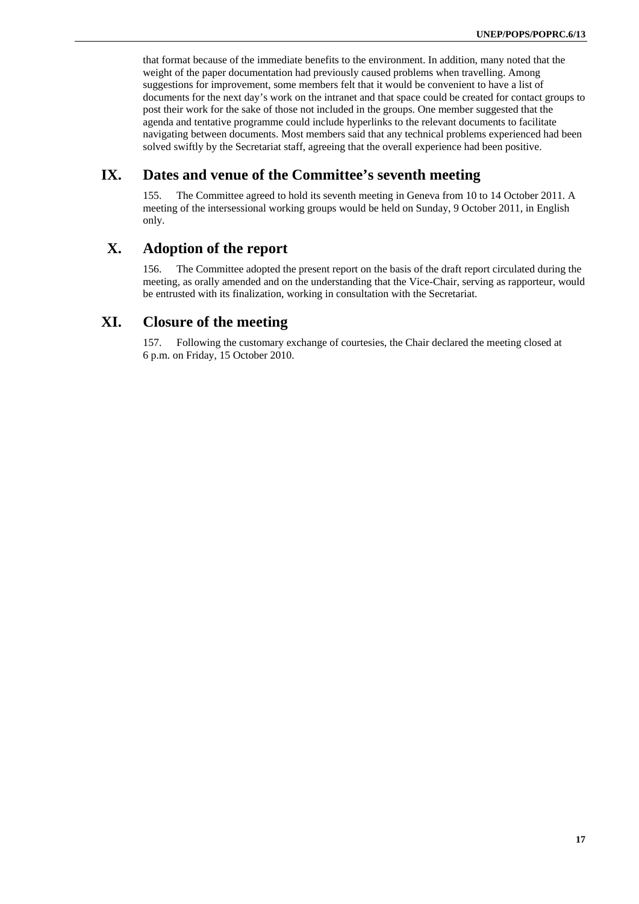that format because of the immediate benefits to the environment. In addition, many noted that the weight of the paper documentation had previously caused problems when travelling. Among suggestions for improvement, some members felt that it would be convenient to have a list of documents for the next day's work on the intranet and that space could be created for contact groups to post their work for the sake of those not included in the groups. One member suggested that the agenda and tentative programme could include hyperlinks to the relevant documents to facilitate navigating between documents. Most members said that any technical problems experienced had been solved swiftly by the Secretariat staff, agreeing that the overall experience had been positive.

# **IX. Dates and venue of the Committee's seventh meeting**

155. The Committee agreed to hold its seventh meeting in Geneva from 10 to 14 October 2011. A meeting of the intersessional working groups would be held on Sunday, 9 October 2011, in English only.

# **X. Adoption of the report**

156. The Committee adopted the present report on the basis of the draft report circulated during the meeting, as orally amended and on the understanding that the Vice-Chair, serving as rapporteur, would be entrusted with its finalization, working in consultation with the Secretariat.

# **XI. Closure of the meeting**

157. Following the customary exchange of courtesies, the Chair declared the meeting closed at 6 p.m. on Friday, 15 October 2010.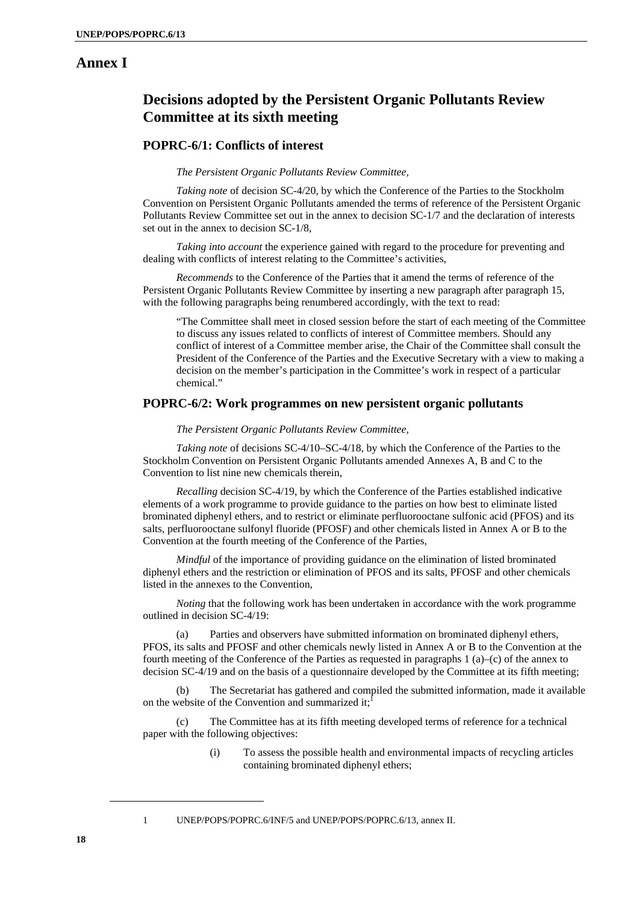# **Annex I**

# **Decisions adopted by the Persistent Organic Pollutants Review Committee at its sixth meeting**

### **POPRC-6/1: Conflicts of interest**

#### *The Persistent Organic Pollutants Review Committee,*

*Taking note* of decision SC-4/20, by which the Conference of the Parties to the Stockholm Convention on Persistent Organic Pollutants amended the terms of reference of the Persistent Organic Pollutants Review Committee set out in the annex to decision SC-1/7 and the declaration of interests set out in the annex to decision SC-1/8,

*Taking into account* the experience gained with regard to the procedure for preventing and dealing with conflicts of interest relating to the Committee's activities,

*Recommends* to the Conference of the Parties that it amend the terms of reference of the Persistent Organic Pollutants Review Committee by inserting a new paragraph after paragraph 15, with the following paragraphs being renumbered accordingly, with the text to read:

"The Committee shall meet in closed session before the start of each meeting of the Committee to discuss any issues related to conflicts of interest of Committee members. Should any conflict of interest of a Committee member arise, the Chair of the Committee shall consult the President of the Conference of the Parties and the Executive Secretary with a view to making a decision on the member's participation in the Committee's work in respect of a particular chemical."

#### **POPRC-6/2: Work programmes on new persistent organic pollutants**

#### *The Persistent Organic Pollutants Review Committee,*

*Taking note* of decisions SC-4/10–SC-4/18, by which the Conference of the Parties to the Stockholm Convention on Persistent Organic Pollutants amended Annexes A, B and C to the Convention to list nine new chemicals therein,

*Recalling* decision SC-4/19, by which the Conference of the Parties established indicative elements of a work programme to provide guidance to the parties on how best to eliminate listed brominated diphenyl ethers, and to restrict or eliminate perfluorooctane sulfonic acid (PFOS) and its salts, perfluorooctane sulfonyl fluoride (PFOSF) and other chemicals listed in Annex A or B to the Convention at the fourth meeting of the Conference of the Parties,

*Mindful* of the importance of providing guidance on the elimination of listed brominated diphenyl ethers and the restriction or elimination of PFOS and its salts, PFOSF and other chemicals listed in the annexes to the Convention,

*Noting* that the following work has been undertaken in accordance with the work programme outlined in decision SC-4/19:

(a) Parties and observers have submitted information on brominated diphenyl ethers, PFOS, its salts and PFOSF and other chemicals newly listed in Annex A or B to the Convention at the fourth meeting of the Conference of the Parties as requested in paragraphs 1 (a)–(c) of the annex to decision SC-4/19 and on the basis of a questionnaire developed by the Committee at its fifth meeting;

(b) The Secretariat has gathered and compiled the submitted information, made it available on the website of the Convention and summarized it: $\frac{1}{2}$ 

(c) The Committee has at its fifth meeting developed terms of reference for a technical paper with the following objectives:

> (i) To assess the possible health and environmental impacts of recycling articles containing brominated diphenyl ethers;

<sup>1</sup> UNEP/POPS/POPRC.6/INF/5 and UNEP/POPS/POPRC.6/13, annex II.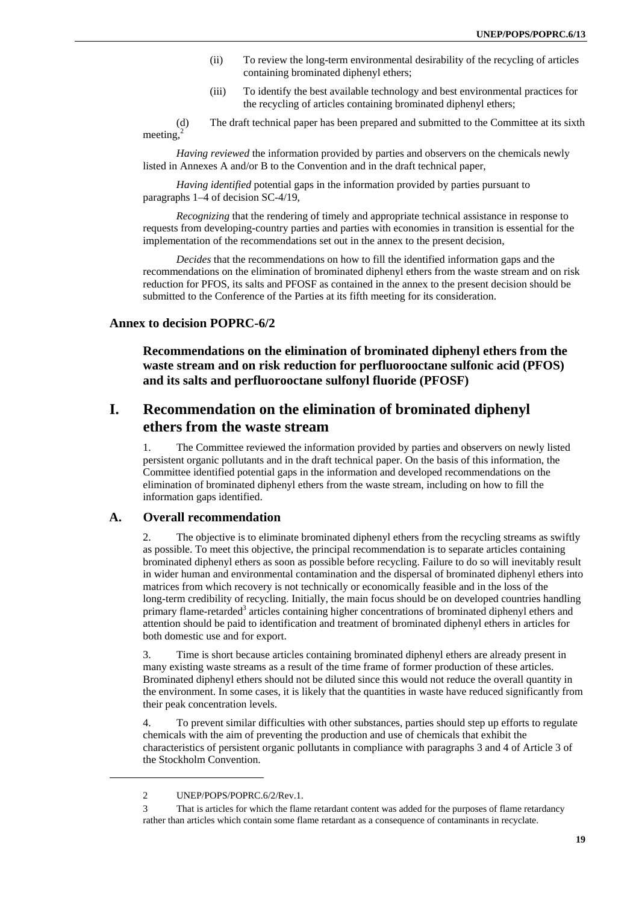- (ii) To review the long-term environmental desirability of the recycling of articles containing brominated diphenyl ethers;
- (iii) To identify the best available technology and best environmental practices for the recycling of articles containing brominated diphenyl ethers;

(d) The draft technical paper has been prepared and submitted to the Committee at its sixth meeting, $^{2}$ 

*Having reviewed* the information provided by parties and observers on the chemicals newly listed in Annexes A and/or B to the Convention and in the draft technical paper,

*Having identified* potential gaps in the information provided by parties pursuant to paragraphs 1–4 of decision SC-4/19,

*Recognizing* that the rendering of timely and appropriate technical assistance in response to requests from developing-country parties and parties with economies in transition is essential for the implementation of the recommendations set out in the annex to the present decision,

*Decides* that the recommendations on how to fill the identified information gaps and the recommendations on the elimination of brominated diphenyl ethers from the waste stream and on risk reduction for PFOS, its salts and PFOSF as contained in the annex to the present decision should be submitted to the Conference of the Parties at its fifth meeting for its consideration.

### **Annex to decision POPRC-6/2**

**Recommendations on the elimination of brominated diphenyl ethers from the waste stream and on risk reduction for perfluorooctane sulfonic acid (PFOS) and its salts and perfluorooctane sulfonyl fluoride (PFOSF)**

# **I. Recommendation on the elimination of brominated diphenyl ethers from the waste stream**

1. The Committee reviewed the information provided by parties and observers on newly listed persistent organic pollutants and in the draft technical paper. On the basis of this information, the Committee identified potential gaps in the information and developed recommendations on the elimination of brominated diphenyl ethers from the waste stream, including on how to fill the information gaps identified.

#### **A. Overall recommendation**

2. The objective is to eliminate brominated diphenyl ethers from the recycling streams as swiftly as possible. To meet this objective, the principal recommendation is to separate articles containing brominated diphenyl ethers as soon as possible before recycling. Failure to do so will inevitably result in wider human and environmental contamination and the dispersal of brominated diphenyl ethers into matrices from which recovery is not technically or economically feasible and in the loss of the long-term credibility of recycling. Initially, the main focus should be on developed countries handling primary flame-retarded<sup>3</sup> articles containing higher concentrations of brominated diphenyl ethers and attention should be paid to identification and treatment of brominated diphenyl ethers in articles for both domestic use and for export.

3. Time is short because articles containing brominated diphenyl ethers are already present in many existing waste streams as a result of the time frame of former production of these articles. Brominated diphenyl ethers should not be diluted since this would not reduce the overall quantity in the environment. In some cases, it is likely that the quantities in waste have reduced significantly from their peak concentration levels.

4. To prevent similar difficulties with other substances, parties should step up efforts to regulate chemicals with the aim of preventing the production and use of chemicals that exhibit the characteristics of persistent organic pollutants in compliance with paragraphs 3 and 4 of Article 3 of the Stockholm Convention.

<sup>2</sup> UNEP/POPS/POPRC.6/2/Rev.1.

<sup>3</sup> That is articles for which the flame retardant content was added for the purposes of flame retardancy rather than articles which contain some flame retardant as a consequence of contaminants in recyclate.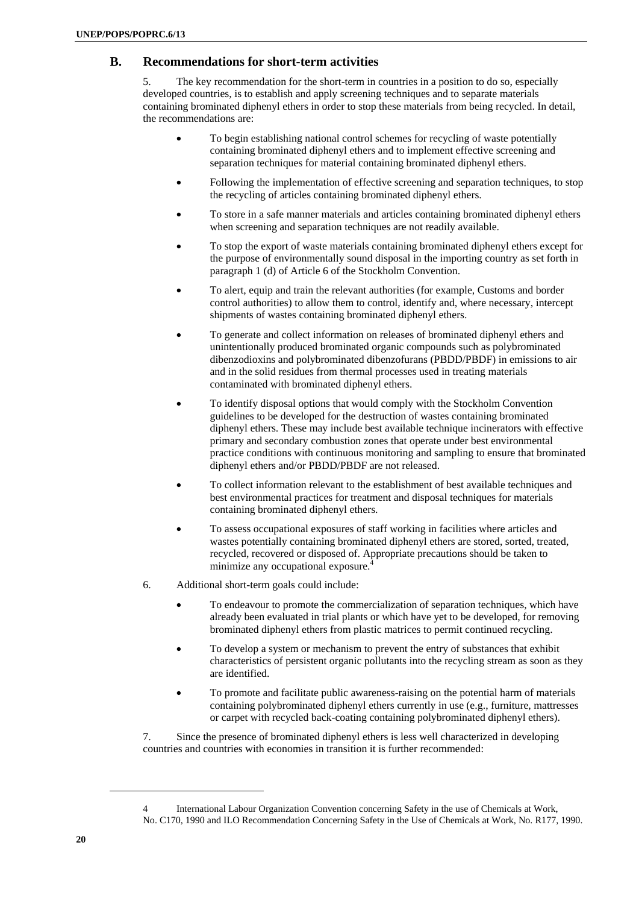### **B. Recommendations for short-term activities**

5. The key recommendation for the short-term in countries in a position to do so, especially developed countries, is to establish and apply screening techniques and to separate materials containing brominated diphenyl ethers in order to stop these materials from being recycled. In detail, the recommendations are:

- To begin establishing national control schemes for recycling of waste potentially containing brominated diphenyl ethers and to implement effective screening and separation techniques for material containing brominated diphenyl ethers.
- Following the implementation of effective screening and separation techniques, to stop the recycling of articles containing brominated diphenyl ethers.
- To store in a safe manner materials and articles containing brominated diphenyl ethers when screening and separation techniques are not readily available.
- To stop the export of waste materials containing brominated diphenyl ethers except for the purpose of environmentally sound disposal in the importing country as set forth in paragraph 1 (d) of Article 6 of the Stockholm Convention.
- To alert, equip and train the relevant authorities (for example, Customs and border control authorities) to allow them to control, identify and, where necessary, intercept shipments of wastes containing brominated diphenyl ethers.
- To generate and collect information on releases of brominated diphenyl ethers and unintentionally produced brominated organic compounds such as polybrominated dibenzodioxins and polybrominated dibenzofurans (PBDD/PBDF) in emissions to air and in the solid residues from thermal processes used in treating materials contaminated with brominated diphenyl ethers.
- To identify disposal options that would comply with the Stockholm Convention guidelines to be developed for the destruction of wastes containing brominated diphenyl ethers. These may include best available technique incinerators with effective primary and secondary combustion zones that operate under best environmental practice conditions with continuous monitoring and sampling to ensure that brominated diphenyl ethers and/or PBDD/PBDF are not released.
- To collect information relevant to the establishment of best available techniques and best environmental practices for treatment and disposal techniques for materials containing brominated diphenyl ethers.
- To assess occupational exposures of staff working in facilities where articles and wastes potentially containing brominated diphenyl ethers are stored, sorted, treated, recycled, recovered or disposed of. Appropriate precautions should be taken to minimize any occupational exposure.4
- 6. Additional short-term goals could include:
	- To endeavour to promote the commercialization of separation techniques, which have already been evaluated in trial plants or which have yet to be developed, for removing brominated diphenyl ethers from plastic matrices to permit continued recycling.
	- To develop a system or mechanism to prevent the entry of substances that exhibit characteristics of persistent organic pollutants into the recycling stream as soon as they are identified.
	- To promote and facilitate public awareness-raising on the potential harm of materials containing polybrominated diphenyl ethers currently in use (e.g., furniture, mattresses or carpet with recycled back-coating containing polybrominated diphenyl ethers).

7. Since the presence of brominated diphenyl ethers is less well characterized in developing countries and countries with economies in transition it is further recommended:

<sup>4</sup> International Labour Organization Convention concerning Safety in the use of Chemicals at Work, No. C170, 1990 and ILO Recommendation Concerning Safety in the Use of Chemicals at Work, No. R177, 1990.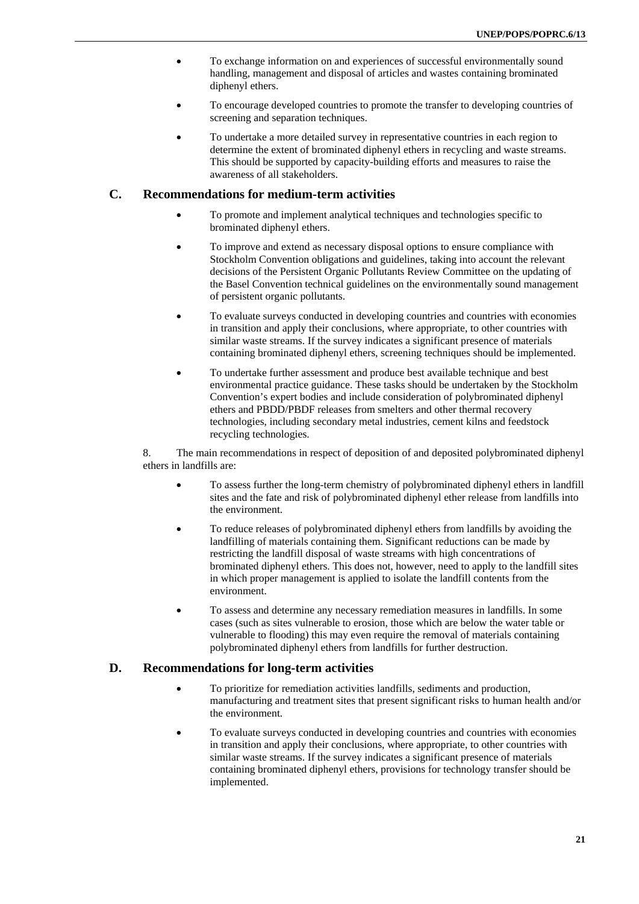- To exchange information on and experiences of successful environmentally sound handling, management and disposal of articles and wastes containing brominated diphenyl ethers.
- To encourage developed countries to promote the transfer to developing countries of screening and separation techniques.
- To undertake a more detailed survey in representative countries in each region to determine the extent of brominated diphenyl ethers in recycling and waste streams. This should be supported by capacity-building efforts and measures to raise the awareness of all stakeholders.

### **C. Recommendations for medium-term activities**

- To promote and implement analytical techniques and technologies specific to brominated diphenyl ethers.
- To improve and extend as necessary disposal options to ensure compliance with Stockholm Convention obligations and guidelines, taking into account the relevant decisions of the Persistent Organic Pollutants Review Committee on the updating of the Basel Convention technical guidelines on the environmentally sound management of persistent organic pollutants.
- To evaluate surveys conducted in developing countries and countries with economies in transition and apply their conclusions, where appropriate, to other countries with similar waste streams. If the survey indicates a significant presence of materials containing brominated diphenyl ethers, screening techniques should be implemented.
- To undertake further assessment and produce best available technique and best environmental practice guidance. These tasks should be undertaken by the Stockholm Convention's expert bodies and include consideration of polybrominated diphenyl ethers and PBDD/PBDF releases from smelters and other thermal recovery technologies, including secondary metal industries, cement kilns and feedstock recycling technologies.

8. The main recommendations in respect of deposition of and deposited polybrominated diphenyl ethers in landfills are:

- To assess further the long-term chemistry of polybrominated diphenyl ethers in landfill sites and the fate and risk of polybrominated diphenyl ether release from landfills into the environment.
- To reduce releases of polybrominated diphenyl ethers from landfills by avoiding the landfilling of materials containing them. Significant reductions can be made by restricting the landfill disposal of waste streams with high concentrations of brominated diphenyl ethers. This does not, however, need to apply to the landfill sites in which proper management is applied to isolate the landfill contents from the environment.
- To assess and determine any necessary remediation measures in landfills. In some cases (such as sites vulnerable to erosion, those which are below the water table or vulnerable to flooding) this may even require the removal of materials containing polybrominated diphenyl ethers from landfills for further destruction.

### **D. Recommendations for long-term activities**

- To prioritize for remediation activities landfills, sediments and production, manufacturing and treatment sites that present significant risks to human health and/or the environment.
- To evaluate surveys conducted in developing countries and countries with economies in transition and apply their conclusions, where appropriate, to other countries with similar waste streams. If the survey indicates a significant presence of materials containing brominated diphenyl ethers, provisions for technology transfer should be implemented.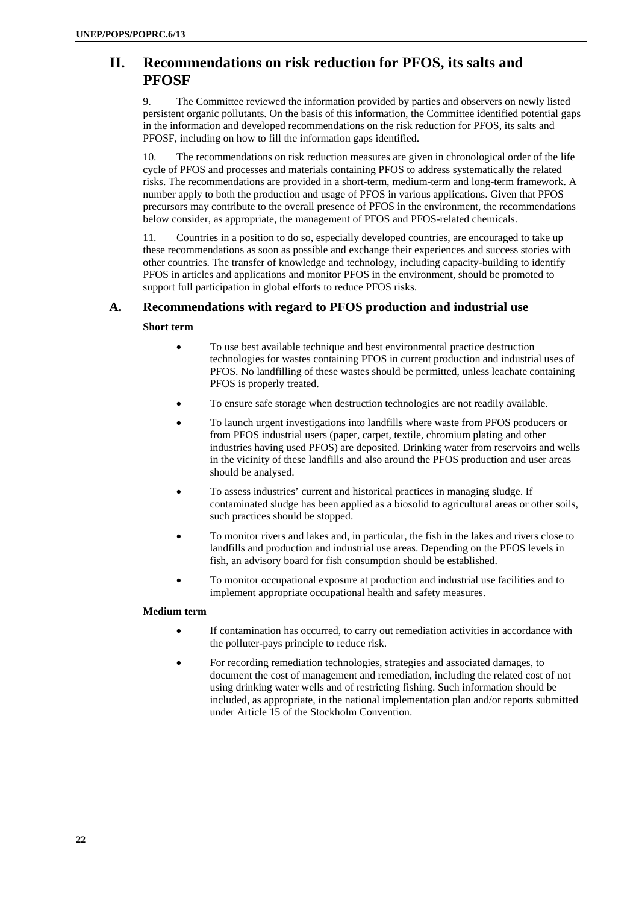# **II. Recommendations on risk reduction for PFOS, its salts and PFOSF**

9. The Committee reviewed the information provided by parties and observers on newly listed persistent organic pollutants. On the basis of this information, the Committee identified potential gaps in the information and developed recommendations on the risk reduction for PFOS, its salts and PFOSF, including on how to fill the information gaps identified.

10. The recommendations on risk reduction measures are given in chronological order of the life cycle of PFOS and processes and materials containing PFOS to address systematically the related risks. The recommendations are provided in a short-term, medium-term and long-term framework. A number apply to both the production and usage of PFOS in various applications. Given that PFOS precursors may contribute to the overall presence of PFOS in the environment, the recommendations below consider, as appropriate, the management of PFOS and PFOS-related chemicals.

11. Countries in a position to do so, especially developed countries, are encouraged to take up these recommendations as soon as possible and exchange their experiences and success stories with other countries. The transfer of knowledge and technology, including capacity-building to identify PFOS in articles and applications and monitor PFOS in the environment, should be promoted to support full participation in global efforts to reduce PFOS risks.

# **A. Recommendations with regard to PFOS production and industrial use**

### **Short term**

- To use best available technique and best environmental practice destruction technologies for wastes containing PFOS in current production and industrial uses of PFOS. No landfilling of these wastes should be permitted, unless leachate containing PFOS is properly treated.
- To ensure safe storage when destruction technologies are not readily available.
- To launch urgent investigations into landfills where waste from PFOS producers or from PFOS industrial users (paper, carpet, textile, chromium plating and other industries having used PFOS) are deposited. Drinking water from reservoirs and wells in the vicinity of these landfills and also around the PFOS production and user areas should be analysed.
- To assess industries' current and historical practices in managing sludge. If contaminated sludge has been applied as a biosolid to agricultural areas or other soils, such practices should be stopped.
- To monitor rivers and lakes and, in particular, the fish in the lakes and rivers close to landfills and production and industrial use areas. Depending on the PFOS levels in fish, an advisory board for fish consumption should be established.
- To monitor occupational exposure at production and industrial use facilities and to implement appropriate occupational health and safety measures.

#### **Medium term**

- If contamination has occurred, to carry out remediation activities in accordance with the polluter-pays principle to reduce risk.
- For recording remediation technologies, strategies and associated damages, to document the cost of management and remediation, including the related cost of not using drinking water wells and of restricting fishing. Such information should be included, as appropriate, in the national implementation plan and/or reports submitted under Article 15 of the Stockholm Convention.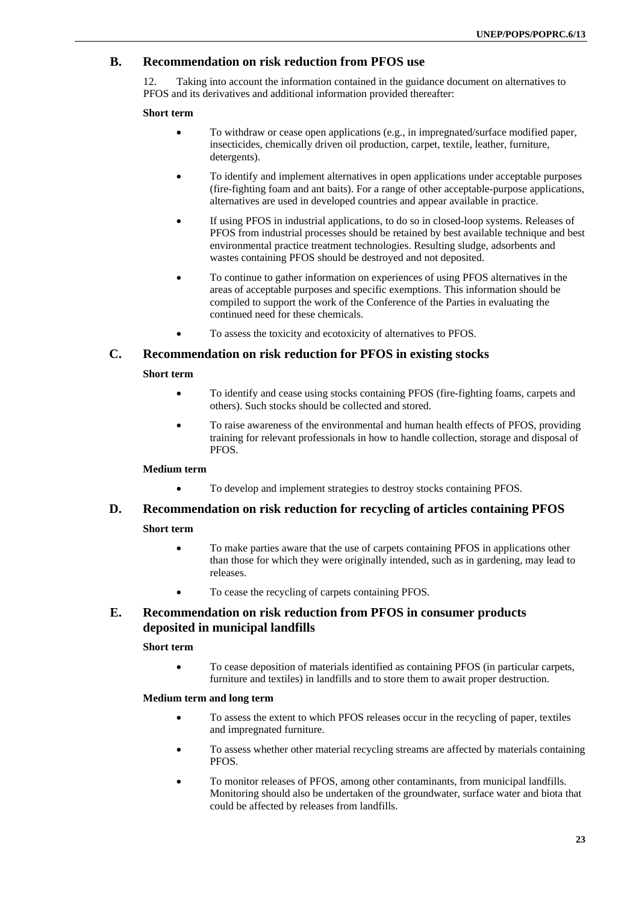# **B. Recommendation on risk reduction from PFOS use**

12. Taking into account the information contained in the guidance document on alternatives to PFOS and its derivatives and additional information provided thereafter:

#### **Short term**

- To withdraw or cease open applications (e.g., in impregnated/surface modified paper, insecticides, chemically driven oil production, carpet, textile, leather, furniture, detergents).
- To identify and implement alternatives in open applications under acceptable purposes (fire-fighting foam and ant baits). For a range of other acceptable-purpose applications, alternatives are used in developed countries and appear available in practice.
- If using PFOS in industrial applications, to do so in closed-loop systems. Releases of PFOS from industrial processes should be retained by best available technique and best environmental practice treatment technologies. Resulting sludge, adsorbents and wastes containing PFOS should be destroyed and not deposited.
- To continue to gather information on experiences of using PFOS alternatives in the areas of acceptable purposes and specific exemptions. This information should be compiled to support the work of the Conference of the Parties in evaluating the continued need for these chemicals.
- To assess the toxicity and ecotoxicity of alternatives to PFOS.

### **C. Recommendation on risk reduction for PFOS in existing stocks**

### **Short term**

- To identify and cease using stocks containing PFOS (fire-fighting foams, carpets and others). Such stocks should be collected and stored.
- To raise awareness of the environmental and human health effects of PFOS, providing training for relevant professionals in how to handle collection, storage and disposal of PFOS.

#### **Medium term**

• To develop and implement strategies to destroy stocks containing PFOS.

# **D. Recommendation on risk reduction for recycling of articles containing PFOS**

#### **Short term**

- To make parties aware that the use of carpets containing PFOS in applications other than those for which they were originally intended, such as in gardening, may lead to releases.
- To cease the recycling of carpets containing PFOS.

# **E. Recommendation on risk reduction from PFOS in consumer products deposited in municipal landfills**

#### **Short term**

• To cease deposition of materials identified as containing PFOS (in particular carpets, furniture and textiles) in landfills and to store them to await proper destruction.

#### **Medium term and long term**

- To assess the extent to which PFOS releases occur in the recycling of paper, textiles and impregnated furniture.
- To assess whether other material recycling streams are affected by materials containing PFOS.
- To monitor releases of PFOS, among other contaminants, from municipal landfills. Monitoring should also be undertaken of the groundwater, surface water and biota that could be affected by releases from landfills.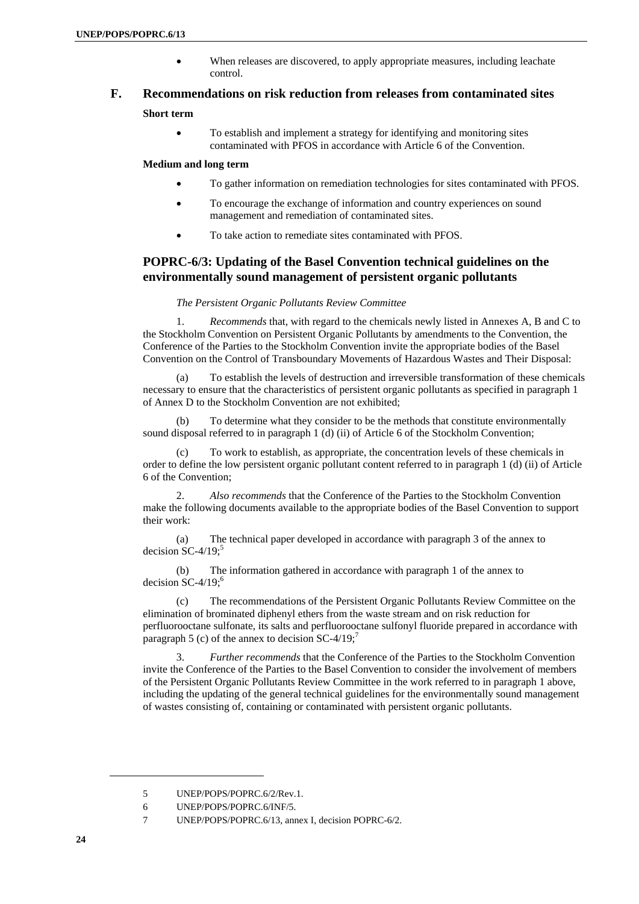• When releases are discovered, to apply appropriate measures, including leachate control.

# **F. Recommendations on risk reduction from releases from contaminated sites**

#### **Short term**

• To establish and implement a strategy for identifying and monitoring sites contaminated with PFOS in accordance with Article 6 of the Convention.

#### **Medium and long term**

- To gather information on remediation technologies for sites contaminated with PFOS.
- To encourage the exchange of information and country experiences on sound management and remediation of contaminated sites.
- To take action to remediate sites contaminated with PFOS.

### **POPRC-6/3: Updating of the Basel Convention technical guidelines on the environmentally sound management of persistent organic pollutants**

#### *The Persistent Organic Pollutants Review Committee*

1. *Recommends* that, with regard to the chemicals newly listed in Annexes A, B and C to the Stockholm Convention on Persistent Organic Pollutants by amendments to the Convention, the Conference of the Parties to the Stockholm Convention invite the appropriate bodies of the Basel Convention on the Control of Transboundary Movements of Hazardous Wastes and Their Disposal:

(a) To establish the levels of destruction and irreversible transformation of these chemicals necessary to ensure that the characteristics of persistent organic pollutants as specified in paragraph 1 of Annex D to the Stockholm Convention are not exhibited;

(b) To determine what they consider to be the methods that constitute environmentally sound disposal referred to in paragraph 1 (d) (ii) of Article 6 of the Stockholm Convention;

To work to establish, as appropriate, the concentration levels of these chemicals in order to define the low persistent organic pollutant content referred to in paragraph 1 (d) (ii) of Article 6 of the Convention;

2. *Also recommends* that the Conference of the Parties to the Stockholm Convention make the following documents available to the appropriate bodies of the Basel Convention to support their work:

(a) The technical paper developed in accordance with paragraph 3 of the annex to decision SC-4/19; $5$ 

(b) The information gathered in accordance with paragraph 1 of the annex to decision  $SC-4/19$ ;<sup>6</sup>

(c) The recommendations of the Persistent Organic Pollutants Review Committee on the elimination of brominated diphenyl ethers from the waste stream and on risk reduction for perfluorooctane sulfonate, its salts and perfluorooctane sulfonyl fluoride prepared in accordance with paragraph 5 (c) of the annex to decision  $SC-4/19$ ;<sup>7</sup>

3. *Further recommends* that the Conference of the Parties to the Stockholm Convention invite the Conference of the Parties to the Basel Convention to consider the involvement of members of the Persistent Organic Pollutants Review Committee in the work referred to in paragraph 1 above, including the updating of the general technical guidelines for the environmentally sound management of wastes consisting of, containing or contaminated with persistent organic pollutants.

<sup>5</sup> UNEP/POPS/POPRC.6/2/Rev.1.

<sup>6</sup> UNEP/POPS/POPRC.6/INF/5.

<sup>7</sup> UNEP/POPS/POPRC.6/13, annex I, decision POPRC-6/2.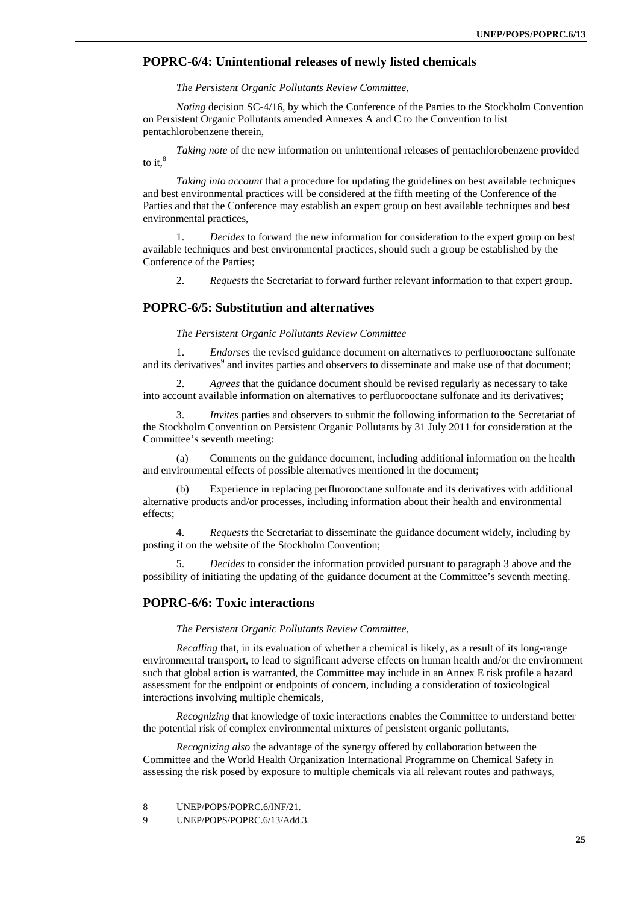### **POPRC-6/4: Unintentional releases of newly listed chemicals**

#### *The Persistent Organic Pollutants Review Committee,*

*Noting* decision SC-4/16, by which the Conference of the Parties to the Stockholm Convention on Persistent Organic Pollutants amended Annexes A and C to the Convention to list pentachlorobenzene therein,

*Taking note* of the new information on unintentional releases of pentachlorobenzene provided to it. $8$ 

*Taking into account* that a procedure for updating the guidelines on best available techniques and best environmental practices will be considered at the fifth meeting of the Conference of the Parties and that the Conference may establish an expert group on best available techniques and best environmental practices,

1. *Decides* to forward the new information for consideration to the expert group on best available techniques and best environmental practices, should such a group be established by the Conference of the Parties;

2. *Requests* the Secretariat to forward further relevant information to that expert group.

#### **POPRC-6/5: Substitution and alternatives**

*The Persistent Organic Pollutants Review Committee* 

1. *Endorses* the revised guidance document on alternatives to perfluorooctane sulfonate and its derivatives<sup>9</sup> and invites parties and observers to disseminate and make use of that document;

2. *Agrees* that the guidance document should be revised regularly as necessary to take into account available information on alternatives to perfluorooctane sulfonate and its derivatives;

3. *Invites* parties and observers to submit the following information to the Secretariat of the Stockholm Convention on Persistent Organic Pollutants by 31 July 2011 for consideration at the Committee's seventh meeting:

(a) Comments on the guidance document, including additional information on the health and environmental effects of possible alternatives mentioned in the document;

(b) Experience in replacing perfluorooctane sulfonate and its derivatives with additional alternative products and/or processes, including information about their health and environmental effects;

4. *Requests* the Secretariat to disseminate the guidance document widely, including by posting it on the website of the Stockholm Convention;

5. *Decides* to consider the information provided pursuant to paragraph 3 above and the possibility of initiating the updating of the guidance document at the Committee's seventh meeting.

#### **POPRC-6/6: Toxic interactions**

*The Persistent Organic Pollutants Review Committee,* 

*Recalling* that, in its evaluation of whether a chemical is likely, as a result of its long-range environmental transport, to lead to significant adverse effects on human health and/or the environment such that global action is warranted, the Committee may include in an Annex E risk profile a hazard assessment for the endpoint or endpoints of concern, including a consideration of toxicological interactions involving multiple chemicals,

*Recognizing* that knowledge of toxic interactions enables the Committee to understand better the potential risk of complex environmental mixtures of persistent organic pollutants,

*Recognizing also* the advantage of the synergy offered by collaboration between the Committee and the World Health Organization International Programme on Chemical Safety in assessing the risk posed by exposure to multiple chemicals via all relevant routes and pathways,

<sup>8</sup> UNEP/POPS/POPRC.6/INF/21.

<sup>9</sup> UNEP/POPS/POPRC.6/13/Add.3.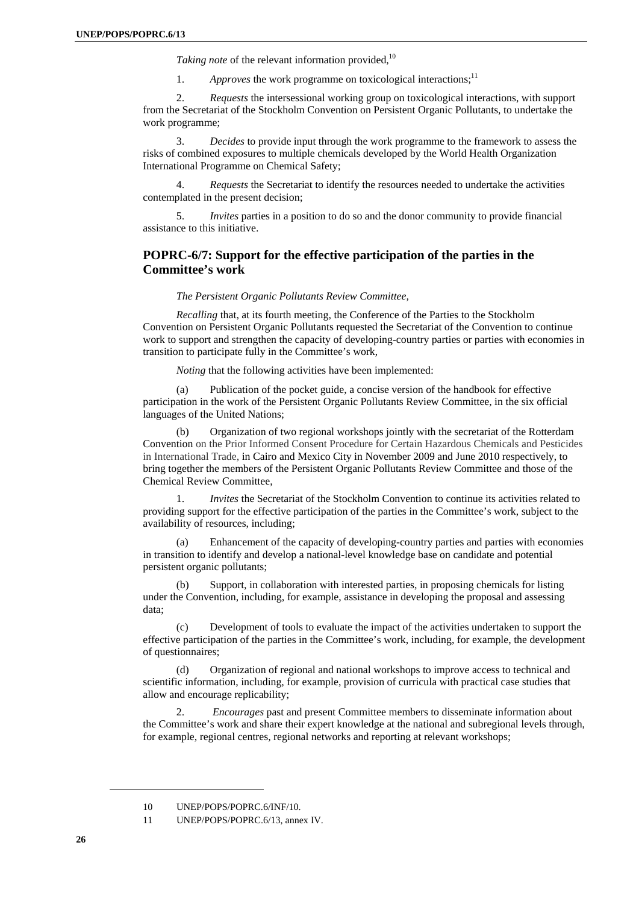*Taking note* of the relevant information provided.<sup>10</sup>

1. *Approves* the work programme on toxicological interactions;<sup>11</sup>

2. *Requests* the intersessional working group on toxicological interactions, with support from the Secretariat of the Stockholm Convention on Persistent Organic Pollutants, to undertake the work programme;

3. *Decides* to provide input through the work programme to the framework to assess the risks of combined exposures to multiple chemicals developed by the World Health Organization International Programme on Chemical Safety;

4. *Requests* the Secretariat to identify the resources needed to undertake the activities contemplated in the present decision;

5. *Invites* parties in a position to do so and the donor community to provide financial assistance to this initiative.

### **POPRC-6/7: Support for the effective participation of the parties in the Committee's work**

#### *The Persistent Organic Pollutants Review Committee,*

*Recalling* that, at its fourth meeting, the Conference of the Parties to the Stockholm Convention on Persistent Organic Pollutants requested the Secretariat of the Convention to continue work to support and strengthen the capacity of developing-country parties or parties with economies in transition to participate fully in the Committee's work,

*Noting* that the following activities have been implemented:

(a) Publication of the pocket guide, a concise version of the handbook for effective participation in the work of the Persistent Organic Pollutants Review Committee, in the six official languages of the United Nations;

(b) Organization of two regional workshops jointly with the secretariat of the Rotterdam Convention on the Prior Informed Consent Procedure for Certain Hazardous Chemicals and Pesticides in International Trade, in Cairo and Mexico City in November 2009 and June 2010 respectively, to bring together the members of the Persistent Organic Pollutants Review Committee and those of the Chemical Review Committee,

1. *Invites* the Secretariat of the Stockholm Convention to continue its activities related to providing support for the effective participation of the parties in the Committee's work, subject to the availability of resources, including;

(a) Enhancement of the capacity of developing-country parties and parties with economies in transition to identify and develop a national-level knowledge base on candidate and potential persistent organic pollutants;

(b) Support, in collaboration with interested parties, in proposing chemicals for listing under the Convention, including, for example, assistance in developing the proposal and assessing data;

(c) Development of tools to evaluate the impact of the activities undertaken to support the effective participation of the parties in the Committee's work, including, for example, the development of questionnaires;

(d) Organization of regional and national workshops to improve access to technical and scientific information, including, for example, provision of curricula with practical case studies that allow and encourage replicability;

2. *Encourages* past and present Committee members to disseminate information about the Committee's work and share their expert knowledge at the national and subregional levels through, for example, regional centres, regional networks and reporting at relevant workshops;

<sup>10</sup> UNEP/POPS/POPRC.6/INF/10.

<sup>11</sup> UNEP/POPS/POPRC.6/13, annex IV.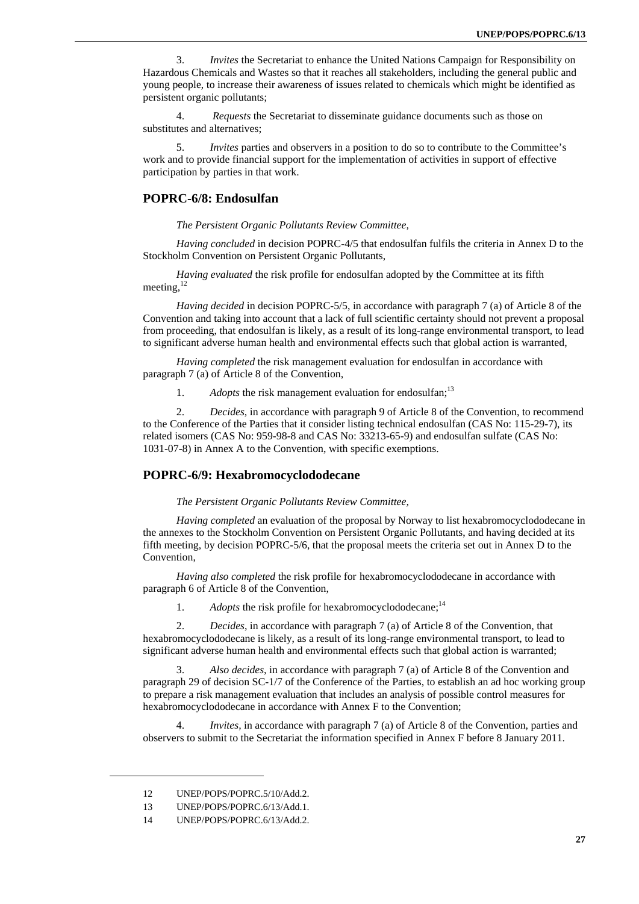3. *Invites* the Secretariat to enhance the United Nations Campaign for Responsibility on Hazardous Chemicals and Wastes so that it reaches all stakeholders, including the general public and young people, to increase their awareness of issues related to chemicals which might be identified as persistent organic pollutants;

4. *Requests* the Secretariat to disseminate guidance documents such as those on substitutes and alternatives;

5. *Invites* parties and observers in a position to do so to contribute to the Committee's work and to provide financial support for the implementation of activities in support of effective participation by parties in that work.

#### **POPRC-6/8: Endosulfan**

*The Persistent Organic Pollutants Review Committee,* 

*Having concluded* in decision POPRC-4/5 that endosulfan fulfils the criteria in Annex D to the Stockholm Convention on Persistent Organic Pollutants,

*Having evaluated* the risk profile for endosulfan adopted by the Committee at its fifth meeting, $^{12}$ 

*Having decided* in decision POPRC-5/5, in accordance with paragraph 7 (a) of Article 8 of the Convention and taking into account that a lack of full scientific certainty should not prevent a proposal from proceeding, that endosulfan is likely, as a result of its long-range environmental transport, to lead to significant adverse human health and environmental effects such that global action is warranted,

*Having completed* the risk management evaluation for endosulfan in accordance with paragraph 7 (a) of Article 8 of the Convention,

1. *Adopts* the risk management evaluation for endosulfan:<sup>13</sup>

2. *Decides*, in accordance with paragraph 9 of Article 8 of the Convention, to recommend to the Conference of the Parties that it consider listing technical endosulfan (CAS No: 115-29-7), its related isomers (CAS No: 959-98-8 and CAS No: 33213-65-9) and endosulfan sulfate (CAS No: 1031-07-8) in Annex A to the Convention, with specific exemptions.

#### **POPRC-6/9: Hexabromocyclododecane**

#### *The Persistent Organic Pollutants Review Committee,*

*Having completed* an evaluation of the proposal by Norway to list hexabromocyclododecane in the annexes to the Stockholm Convention on Persistent Organic Pollutants, and having decided at its fifth meeting, by decision POPRC-5/6, that the proposal meets the criteria set out in Annex D to the Convention,

*Having also completed* the risk profile for hexabromocyclododecane in accordance with paragraph 6 of Article 8 of the Convention,

1. *Adopts* the risk profile for hexabromocyclododecane;<sup>14</sup>

2. *Decides*, in accordance with paragraph 7 (a) of Article 8 of the Convention, that hexabromocyclododecane is likely, as a result of its long-range environmental transport, to lead to significant adverse human health and environmental effects such that global action is warranted;

3. *Also decides,* in accordance with paragraph 7 (a) of Article 8 of the Convention and paragraph 29 of decision SC-1/7 of the Conference of the Parties, to establish an ad hoc working group to prepare a risk management evaluation that includes an analysis of possible control measures for hexabromocyclododecane in accordance with Annex F to the Convention;

4. *Invites,* in accordance with paragraph 7 (a) of Article 8 of the Convention, parties and observers to submit to the Secretariat the information specified in Annex F before 8 January 2011.

<sup>12</sup> UNEP/POPS/POPRC.5/10/Add.2.

<sup>13</sup> UNEP/POPS/POPRC.6/13/Add.1.

<sup>14</sup> UNEP/POPS/POPRC.6/13/Add.2.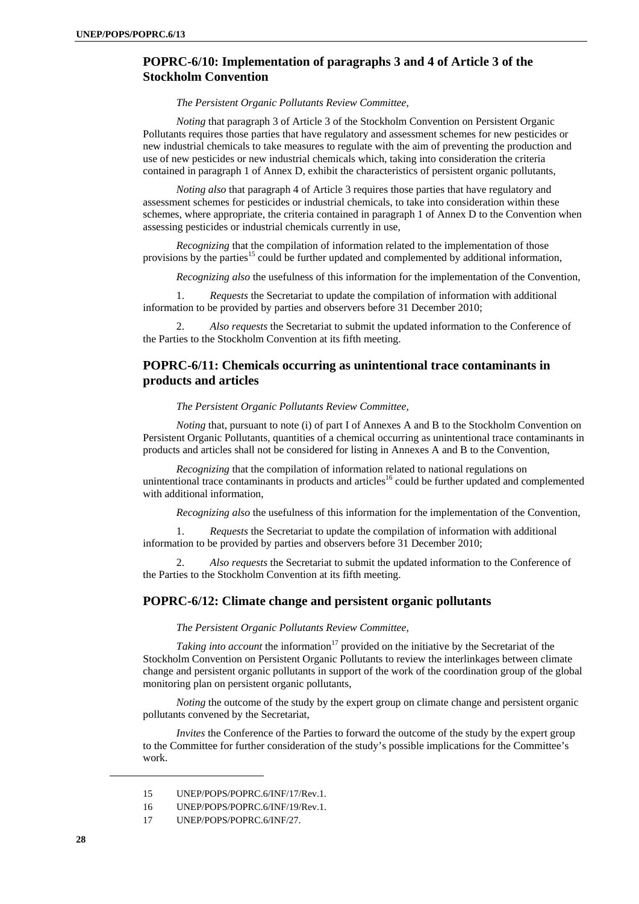### **POPRC-6/10: Implementation of paragraphs 3 and 4 of Article 3 of the Stockholm Convention**

#### *The Persistent Organic Pollutants Review Committee,*

*Noting* that paragraph 3 of Article 3 of the Stockholm Convention on Persistent Organic Pollutants requires those parties that have regulatory and assessment schemes for new pesticides or new industrial chemicals to take measures to regulate with the aim of preventing the production and use of new pesticides or new industrial chemicals which, taking into consideration the criteria contained in paragraph 1 of Annex D, exhibit the characteristics of persistent organic pollutants,

*Noting also* that paragraph 4 of Article 3 requires those parties that have regulatory and assessment schemes for pesticides or industrial chemicals, to take into consideration within these schemes, where appropriate, the criteria contained in paragraph 1 of Annex D to the Convention when assessing pesticides or industrial chemicals currently in use,

*Recognizing* that the compilation of information related to the implementation of those provisions by the parties<sup>15</sup> could be further updated and complemented by additional information,

*Recognizing also* the usefulness of this information for the implementation of the Convention,

1. *Requests* the Secretariat to update the compilation of information with additional information to be provided by parties and observers before 31 December 2010;

2. *Also requests* the Secretariat to submit the updated information to the Conference of the Parties to the Stockholm Convention at its fifth meeting.

### **POPRC-6/11: Chemicals occurring as unintentional trace contaminants in products and articles**

#### *The Persistent Organic Pollutants Review Committee,*

*Noting* that, pursuant to note (i) of part I of Annexes A and B to the Stockholm Convention on Persistent Organic Pollutants, quantities of a chemical occurring as unintentional trace contaminants in products and articles shall not be considered for listing in Annexes A and B to the Convention,

*Recognizing* that the compilation of information related to national regulations on unintentional trace contaminants in products and articles<sup>16</sup> could be further updated and complemented with additional information,

*Recognizing also* the usefulness of this information for the implementation of the Convention,

1. *Requests* the Secretariat to update the compilation of information with additional information to be provided by parties and observers before 31 December 2010;

2. *Also requests* the Secretariat to submit the updated information to the Conference of the Parties to the Stockholm Convention at its fifth meeting.

#### **POPRC-6/12: Climate change and persistent organic pollutants**

*The Persistent Organic Pollutants Review Committee,* 

*Taking into account* the information<sup>17</sup> provided on the initiative by the Secretariat of the Stockholm Convention on Persistent Organic Pollutants to review the interlinkages between climate change and persistent organic pollutants in support of the work of the coordination group of the global monitoring plan on persistent organic pollutants,

*Noting* the outcome of the study by the expert group on climate change and persistent organic pollutants convened by the Secretariat,

*Invites* the Conference of the Parties to forward the outcome of the study by the expert group to the Committee for further consideration of the study's possible implications for the Committee's work.

<sup>15</sup> UNEP/POPS/POPRC.6/INF/17/Rev.1.

<sup>16</sup> UNEP/POPS/POPRC.6/INF/19/Rev.1.

<sup>17</sup> UNEP/POPS/POPRC.6/INF/27.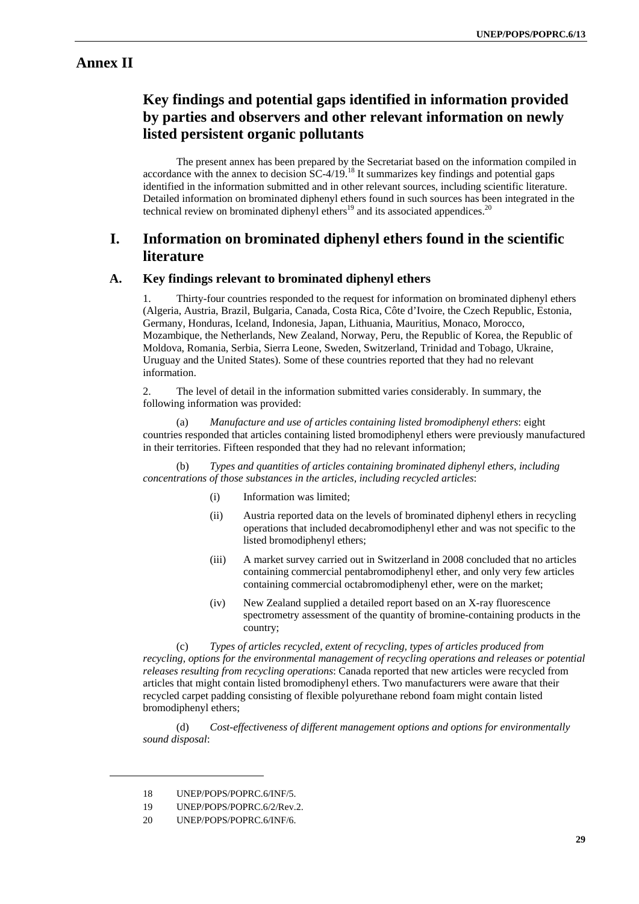# **Annex II**

# **Key findings and potential gaps identified in information provided by parties and observers and other relevant information on newly listed persistent organic pollutants**

The present annex has been prepared by the Secretariat based on the information compiled in accordance with the annex to decision  $SC-4/19$ .<sup>18</sup> It summarizes key findings and potential gaps identified in the information submitted and in other relevant sources, including scientific literature. Detailed information on brominated diphenyl ethers found in such sources has been integrated in the technical review on brominated diphenyl ethers<sup>19</sup> and its associated appendices.<sup>20</sup>

# **I. Information on brominated diphenyl ethers found in the scientific literature**

### **A. Key findings relevant to brominated diphenyl ethers**

1. Thirty-four countries responded to the request for information on brominated diphenyl ethers (Algeria, Austria, Brazil, Bulgaria, Canada, Costa Rica, Côte d'Ivoire, the Czech Republic, Estonia, Germany, Honduras, Iceland, Indonesia, Japan, Lithuania, Mauritius, Monaco, Morocco, Mozambique, the Netherlands, New Zealand, Norway, Peru, the Republic of Korea, the Republic of Moldova, Romania, Serbia, Sierra Leone, Sweden, Switzerland, Trinidad and Tobago, Ukraine, Uruguay and the United States). Some of these countries reported that they had no relevant information.

2. The level of detail in the information submitted varies considerably. In summary, the following information was provided:

(a) *Manufacture and use of articles containing listed bromodiphenyl ethers*: eight countries responded that articles containing listed bromodiphenyl ethers were previously manufactured in their territories. Fifteen responded that they had no relevant information;

(b) *Types and quantities of articles containing brominated diphenyl ethers, including concentrations of those substances in the articles, including recycled articles*:

- (i) Information was limited;
- (ii) Austria reported data on the levels of brominated diphenyl ethers in recycling operations that included decabromodiphenyl ether and was not specific to the listed bromodiphenyl ethers;
- (iii) A market survey carried out in Switzerland in 2008 concluded that no articles containing commercial pentabromodiphenyl ether, and only very few articles containing commercial octabromodiphenyl ether, were on the market;
- (iv) New Zealand supplied a detailed report based on an X-ray fluorescence spectrometry assessment of the quantity of bromine-containing products in the country;

(c) *Types of articles recycled, extent of recycling, types of articles produced from recycling, options for the environmental management of recycling operations and releases or potential releases resulting from recycling operations*: Canada reported that new articles were recycled from articles that might contain listed bromodiphenyl ethers. Two manufacturers were aware that their recycled carpet padding consisting of flexible polyurethane rebond foam might contain listed bromodiphenyl ethers;

(d) *Cost-effectiveness of different management options and options for environmentally sound disposal*:

<sup>18</sup> UNEP/POPS/POPRC.6/INF/5.

<sup>19</sup> UNEP/POPS/POPRC.6/2/Rev.2.

<sup>20</sup> UNEP/POPS/POPRC.6/INF/6.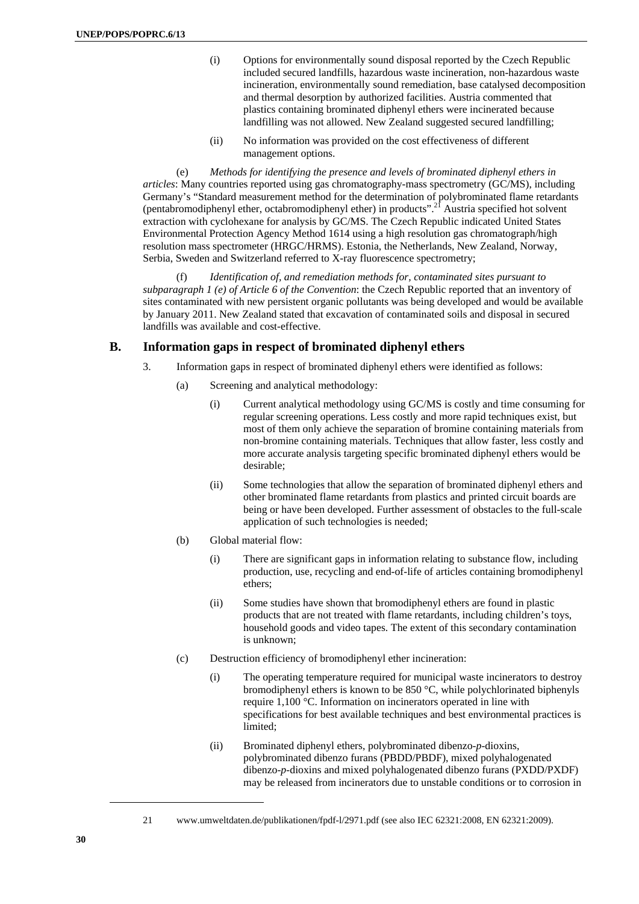- (i) Options for environmentally sound disposal reported by the Czech Republic included secured landfills, hazardous waste incineration, non-hazardous waste incineration, environmentally sound remediation, base catalysed decomposition and thermal desorption by authorized facilities. Austria commented that plastics containing brominated diphenyl ethers were incinerated because landfilling was not allowed. New Zealand suggested secured landfilling;
- (ii) No information was provided on the cost effectiveness of different management options.

(e) *Methods for identifying the presence and levels of brominated diphenyl ethers in articles*: Many countries reported using gas chromatography-mass spectrometry (GC/MS), including Germany's "Standard measurement method for the determination of polybrominated flame retardants (pentabromodiphenyl ether, octabromodiphenyl ether) in products".21 Austria specified hot solvent extraction with cyclohexane for analysis by GC/MS. The Czech Republic indicated United States Environmental Protection Agency Method 1614 using a high resolution gas chromatograph/high resolution mass spectrometer (HRGC/HRMS). Estonia, the Netherlands, New Zealand, Norway, Serbia, Sweden and Switzerland referred to X-ray fluorescence spectrometry;

(f) *Identification of, and remediation methods for, contaminated sites pursuant to subparagraph 1 (e) of Article 6 of the Convention*: the Czech Republic reported that an inventory of sites contaminated with new persistent organic pollutants was being developed and would be available by January 2011. New Zealand stated that excavation of contaminated soils and disposal in secured landfills was available and cost-effective.

### **B. Information gaps in respect of brominated diphenyl ethers**

- 3. Information gaps in respect of brominated diphenyl ethers were identified as follows:
	- (a) Screening and analytical methodology:
		- (i) Current analytical methodology using GC/MS is costly and time consuming for regular screening operations. Less costly and more rapid techniques exist, but most of them only achieve the separation of bromine containing materials from non-bromine containing materials. Techniques that allow faster, less costly and more accurate analysis targeting specific brominated diphenyl ethers would be desirable;
		- (ii) Some technologies that allow the separation of brominated diphenyl ethers and other brominated flame retardants from plastics and printed circuit boards are being or have been developed. Further assessment of obstacles to the full-scale application of such technologies is needed;
	- (b) Global material flow:
		- (i) There are significant gaps in information relating to substance flow, including production, use, recycling and end-of-life of articles containing bromodiphenyl ethers;
		- (ii) Some studies have shown that bromodiphenyl ethers are found in plastic products that are not treated with flame retardants, including children's toys, household goods and video tapes. The extent of this secondary contamination is unknown;
	- (c) Destruction efficiency of bromodiphenyl ether incineration:
		- (i) The operating temperature required for municipal waste incinerators to destroy bromodiphenyl ethers is known to be 850 °C, while polychlorinated biphenyls require 1,100 °C. Information on incinerators operated in line with specifications for best available techniques and best environmental practices is limited;
		- (ii) Brominated diphenyl ethers, polybrominated dibenzo-*p*-dioxins, polybrominated dibenzo furans (PBDD/PBDF), mixed polyhalogenated dibenzo-*p*-dioxins and mixed polyhalogenated dibenzo furans (PXDD/PXDF) may be released from incinerators due to unstable conditions or to corrosion in

<sup>21</sup> www.umweltdaten.de/publikationen/fpdf-l/2971.pdf (see also IEC 62321:2008, EN 62321:2009).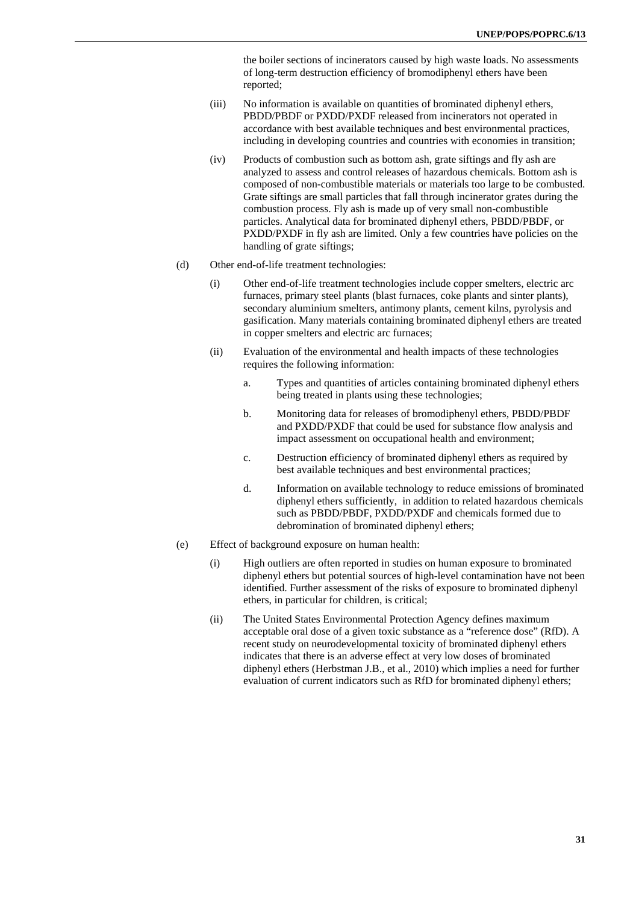the boiler sections of incinerators caused by high waste loads. No assessments of long-term destruction efficiency of bromodiphenyl ethers have been reported;

- (iii) No information is available on quantities of brominated diphenyl ethers, PBDD/PBDF or PXDD/PXDF released from incinerators not operated in accordance with best available techniques and best environmental practices, including in developing countries and countries with economies in transition;
- (iv) Products of combustion such as bottom ash, grate siftings and fly ash are analyzed to assess and control releases of hazardous chemicals. Bottom ash is composed of non-combustible materials or materials too large to be combusted. Grate siftings are small particles that fall through incinerator grates during the combustion process. Fly ash is made up of very small non-combustible particles. Analytical data for brominated diphenyl ethers, PBDD/PBDF, or PXDD/PXDF in fly ash are limited. Only a few countries have policies on the handling of grate siftings;
- (d) Other end-of-life treatment technologies:
	- (i) Other end-of-life treatment technologies include copper smelters, electric arc furnaces, primary steel plants (blast furnaces, coke plants and sinter plants), secondary aluminium smelters, antimony plants, cement kilns, pyrolysis and gasification. Many materials containing brominated diphenyl ethers are treated in copper smelters and electric arc furnaces;
	- (ii) Evaluation of the environmental and health impacts of these technologies requires the following information:
		- a. Types and quantities of articles containing brominated diphenyl ethers being treated in plants using these technologies:
		- b. Monitoring data for releases of bromodiphenyl ethers, PBDD/PBDF and PXDD/PXDF that could be used for substance flow analysis and impact assessment on occupational health and environment;
		- c. Destruction efficiency of brominated diphenyl ethers as required by best available techniques and best environmental practices;
		- d. Information on available technology to reduce emissions of brominated diphenyl ethers sufficiently, in addition to related hazardous chemicals such as PBDD/PBDF, PXDD/PXDF and chemicals formed due to debromination of brominated diphenyl ethers;
- (e) Effect of background exposure on human health:
	- (i) High outliers are often reported in studies on human exposure to brominated diphenyl ethers but potential sources of high-level contamination have not been identified. Further assessment of the risks of exposure to brominated diphenyl ethers, in particular for children, is critical;
	- (ii) The United States Environmental Protection Agency defines maximum acceptable oral dose of a given toxic substance as a "reference dose" (RfD). A recent study on neurodevelopmental toxicity of brominated diphenyl ethers indicates that there is an adverse effect at very low doses of brominated diphenyl ethers (Herbstman J.B., et al., 2010) which implies a need for further evaluation of current indicators such as RfD for brominated diphenyl ethers;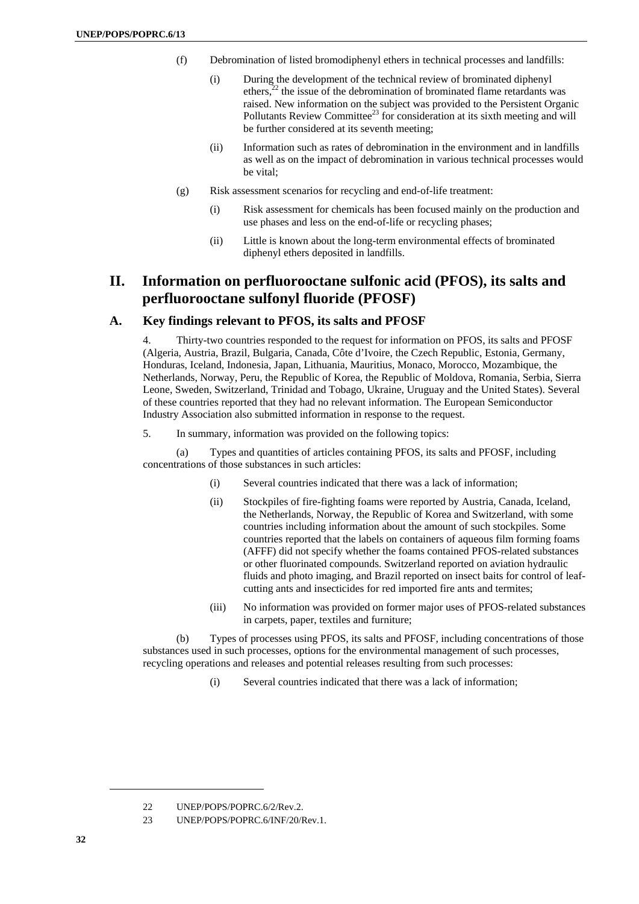- (f) Debromination of listed bromodiphenyl ethers in technical processes and landfills:
	- (i) During the development of the technical review of brominated diphenyl ethers, $^{22}$  the issue of the debromination of brominated flame retardants was raised. New information on the subject was provided to the Persistent Organic Pollutants Review Committee<sup>23</sup> for consideration at its sixth meeting and will be further considered at its seventh meeting;
	- (ii) Information such as rates of debromination in the environment and in landfills as well as on the impact of debromination in various technical processes would be vital;
- (g) Risk assessment scenarios for recycling and end-of-life treatment:
	- (i) Risk assessment for chemicals has been focused mainly on the production and use phases and less on the end-of-life or recycling phases;
	- (ii) Little is known about the long-term environmental effects of brominated diphenyl ethers deposited in landfills.

# **II. Information on perfluorooctane sulfonic acid (PFOS), its salts and perfluorooctane sulfonyl fluoride (PFOSF)**

### **A. Key findings relevant to PFOS, its salts and PFOSF**

4. Thirty-two countries responded to the request for information on PFOS, its salts and PFOSF (Algeria, Austria, Brazil, Bulgaria, Canada, Côte d'Ivoire, the Czech Republic, Estonia, Germany, Honduras, Iceland, Indonesia, Japan, Lithuania, Mauritius, Monaco, Morocco, Mozambique, the Netherlands, Norway, Peru, the Republic of Korea, the Republic of Moldova, Romania, Serbia, Sierra Leone, Sweden, Switzerland, Trinidad and Tobago, Ukraine, Uruguay and the United States). Several of these countries reported that they had no relevant information. The European Semiconductor Industry Association also submitted information in response to the request.

5. In summary, information was provided on the following topics:

(a) Types and quantities of articles containing PFOS, its salts and PFOSF, including concentrations of those substances in such articles:

- (i) Several countries indicated that there was a lack of information;
- (ii) Stockpiles of fire-fighting foams were reported by Austria, Canada, Iceland, the Netherlands, Norway, the Republic of Korea and Switzerland, with some countries including information about the amount of such stockpiles. Some countries reported that the labels on containers of aqueous film forming foams (AFFF) did not specify whether the foams contained PFOS-related substances or other fluorinated compounds. Switzerland reported on aviation hydraulic fluids and photo imaging, and Brazil reported on insect baits for control of leafcutting ants and insecticides for red imported fire ants and termites;
- (iii) No information was provided on former major uses of PFOS-related substances in carpets, paper, textiles and furniture;

(b) Types of processes using PFOS, its salts and PFOSF, including concentrations of those substances used in such processes, options for the environmental management of such processes, recycling operations and releases and potential releases resulting from such processes:

(i) Several countries indicated that there was a lack of information;

<sup>22</sup> UNEP/POPS/POPRC.6/2/Rev.2.

<sup>23</sup> UNEP/POPS/POPRC.6/INF/20/Rev.1.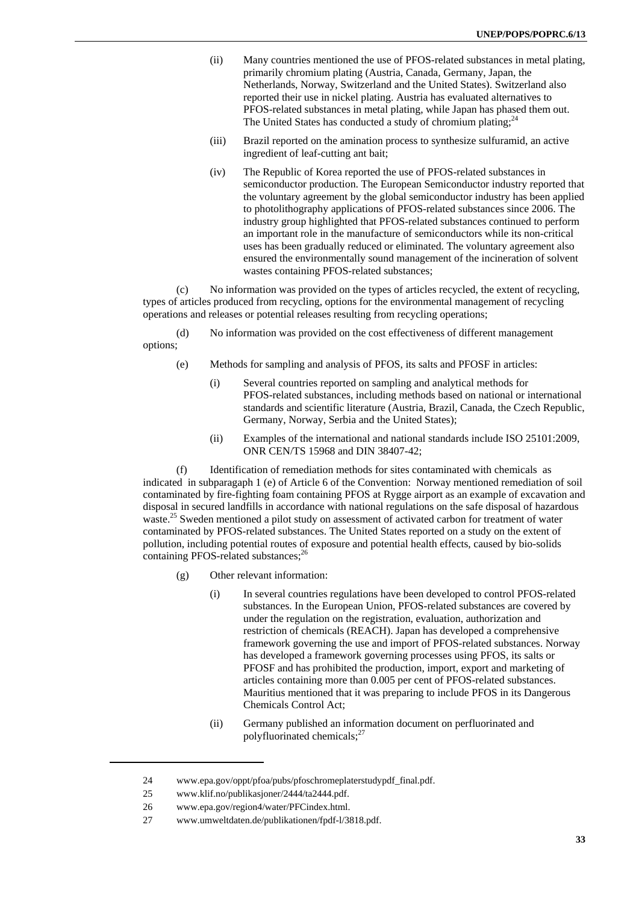- (ii) Many countries mentioned the use of PFOS-related substances in metal plating, primarily chromium plating (Austria, Canada, Germany, Japan, the Netherlands, Norway, Switzerland and the United States). Switzerland also reported their use in nickel plating. Austria has evaluated alternatives to PFOS-related substances in metal plating, while Japan has phased them out. The United States has conducted a study of chromium plating; $^{24}$
- (iii) Brazil reported on the amination process to synthesize sulfuramid, an active ingredient of leaf-cutting ant bait;
- (iv) The Republic of Korea reported the use of PFOS-related substances in semiconductor production. The European Semiconductor industry reported that the voluntary agreement by the global semiconductor industry has been applied to photolithography applications of PFOS-related substances since 2006. The industry group highlighted that PFOS-related substances continued to perform an important role in the manufacture of semiconductors while its non-critical uses has been gradually reduced or eliminated. The voluntary agreement also ensured the environmentally sound management of the incineration of solvent wastes containing PFOS-related substances;

(c) No information was provided on the types of articles recycled, the extent of recycling, types of articles produced from recycling, options for the environmental management of recycling operations and releases or potential releases resulting from recycling operations;

(d) No information was provided on the cost effectiveness of different management options;

- (e) Methods for sampling and analysis of PFOS, its salts and PFOSF in articles:
	- (i) Several countries reported on sampling and analytical methods for PFOS-related substances, including methods based on national or international standards and scientific literature (Austria, Brazil, Canada, the Czech Republic, Germany, Norway, Serbia and the United States);
	- (ii) Examples of the international and national standards include ISO 25101:2009, ONR CEN/TS 15968 and DIN 38407-42;

(f) Identification of remediation methods for sites contaminated with chemicals as indicated in subparagaph 1 (e) of Article 6 of the Convention: Norway mentioned remediation of soil contaminated by fire-fighting foam containing PFOS at Rygge airport as an example of excavation and disposal in secured landfills in accordance with national regulations on the safe disposal of hazardous waste.25 Sweden mentioned a pilot study on assessment of activated carbon for treatment of water contaminated by PFOS-related substances. The United States reported on a study on the extent of pollution, including potential routes of exposure and potential health effects, caused by bio-solids containing PFOS-related substances;<sup>26</sup>

- (g) Other relevant information:
	- (i) In several countries regulations have been developed to control PFOS-related substances. In the European Union, PFOS-related substances are covered by under the regulation on the registration, evaluation, authorization and restriction of chemicals (REACH). Japan has developed a comprehensive framework governing the use and import of PFOS-related substances. Norway has developed a framework governing processes using PFOS, its salts or PFOSF and has prohibited the production, import, export and marketing of articles containing more than 0.005 per cent of PFOS-related substances. Mauritius mentioned that it was preparing to include PFOS in its Dangerous Chemicals Control Act;
	- (ii) Germany published an information document on perfluorinated and polyfluorinated chemicals; $^{27}$

<sup>24</sup> www.epa.gov/oppt/pfoa/pubs/pfoschromeplaterstudypdf\_final.pdf.

<sup>25</sup> www.klif.no/publikasjoner/2444/ta2444.pdf.

<sup>26</sup> www.epa.gov/region4/water/PFCindex.html.

<sup>27</sup> www.umweltdaten.de/publikationen/fpdf-l/3818.pdf.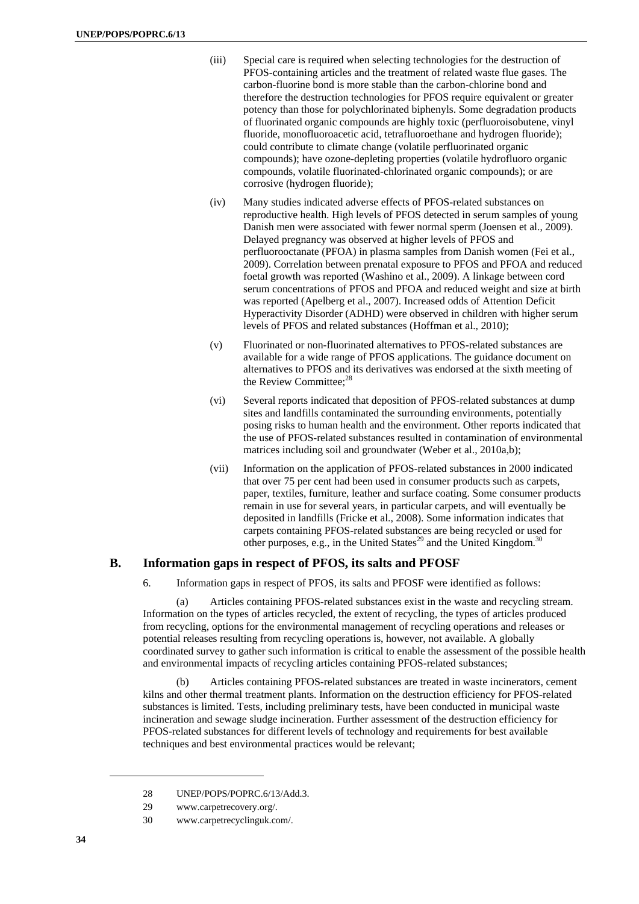- (iii) Special care is required when selecting technologies for the destruction of PFOS-containing articles and the treatment of related waste flue gases. The carbon-fluorine bond is more stable than the carbon-chlorine bond and therefore the destruction technologies for PFOS require equivalent or greater potency than those for polychlorinated biphenyls. Some degradation products of fluorinated organic compounds are highly toxic (perfluoroisobutene, vinyl fluoride, monofluoroacetic acid, tetrafluoroethane and hydrogen fluoride); could contribute to climate change (volatile perfluorinated organic compounds); have ozone-depleting properties (volatile hydrofluoro organic compounds, volatile fluorinated-chlorinated organic compounds); or are corrosive (hydrogen fluoride);
- (iv) Many studies indicated adverse effects of PFOS-related substances on reproductive health. High levels of PFOS detected in serum samples of young Danish men were associated with fewer normal sperm (Joensen et al., 2009). Delayed pregnancy was observed at higher levels of PFOS and perfluorooctanate (PFOA) in plasma samples from Danish women (Fei et al., 2009). Correlation between prenatal exposure to PFOS and PFOA and reduced foetal growth was reported (Washino et al., 2009). A linkage between cord serum concentrations of PFOS and PFOA and reduced weight and size at birth was reported (Apelberg et al., 2007). Increased odds of Attention Deficit Hyperactivity Disorder (ADHD) were observed in children with higher serum levels of PFOS and related substances (Hoffman et al., 2010);
- (v) Fluorinated or non-fluorinated alternatives to PFOS-related substances are available for a wide range of PFOS applications. The guidance document on alternatives to PFOS and its derivatives was endorsed at the sixth meeting of the Review Committee:<sup>28</sup>
- (vi) Several reports indicated that deposition of PFOS-related substances at dump sites and landfills contaminated the surrounding environments, potentially posing risks to human health and the environment. Other reports indicated that the use of PFOS-related substances resulted in contamination of environmental matrices including soil and groundwater (Weber et al., 2010a,b);
- (vii) Information on the application of PFOS-related substances in 2000 indicated that over 75 per cent had been used in consumer products such as carpets, paper, textiles, furniture, leather and surface coating. Some consumer products remain in use for several years, in particular carpets, and will eventually be deposited in landfills (Fricke et al., 2008). Some information indicates that carpets containing PFOS-related substances are being recycled or used for other purposes, e.g., in the United States<sup>29</sup> and the United Kingdom.<sup>30</sup>

### **B. Information gaps in respect of PFOS, its salts and PFOSF**

6. Information gaps in respect of PFOS, its salts and PFOSF were identified as follows:

(a) Articles containing PFOS-related substances exist in the waste and recycling stream. Information on the types of articles recycled, the extent of recycling, the types of articles produced from recycling, options for the environmental management of recycling operations and releases or potential releases resulting from recycling operations is, however, not available. A globally coordinated survey to gather such information is critical to enable the assessment of the possible health and environmental impacts of recycling articles containing PFOS-related substances;

(b) Articles containing PFOS-related substances are treated in waste incinerators, cement kilns and other thermal treatment plants. Information on the destruction efficiency for PFOS-related substances is limited. Tests, including preliminary tests, have been conducted in municipal waste incineration and sewage sludge incineration. Further assessment of the destruction efficiency for PFOS-related substances for different levels of technology and requirements for best available techniques and best environmental practices would be relevant;

<sup>28</sup> UNEP/POPS/POPRC.6/13/Add.3.

<sup>29</sup> www.carpetrecovery.org/.

<sup>30</sup> www.carpetrecyclinguk.com/.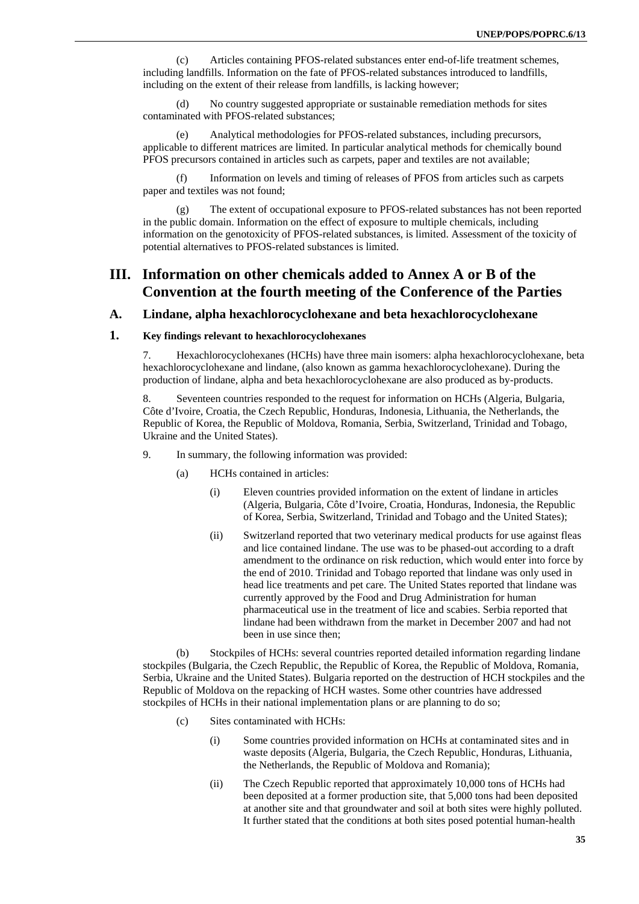(c) Articles containing PFOS-related substances enter end-of-life treatment schemes, including landfills. Information on the fate of PFOS-related substances introduced to landfills, including on the extent of their release from landfills, is lacking however;

(d) No country suggested appropriate or sustainable remediation methods for sites contaminated with PFOS-related substances;

(e) Analytical methodologies for PFOS-related substances, including precursors, applicable to different matrices are limited. In particular analytical methods for chemically bound PFOS precursors contained in articles such as carpets, paper and textiles are not available;

(f) Information on levels and timing of releases of PFOS from articles such as carpets paper and textiles was not found;

The extent of occupational exposure to PFOS-related substances has not been reported in the public domain. Information on the effect of exposure to multiple chemicals, including information on the genotoxicity of PFOS-related substances, is limited. Assessment of the toxicity of potential alternatives to PFOS-related substances is limited.

# **III. Information on other chemicals added to Annex A or B of the Convention at the fourth meeting of the Conference of the Parties**

### **A. Lindane, alpha hexachlorocyclohexane and beta hexachlorocyclohexane**

### **1. Key findings relevant to hexachlorocyclohexanes**

7. Hexachlorocyclohexanes (HCHs) have three main isomers: alpha hexachlorocyclohexane, beta hexachlorocyclohexane and lindane, (also known as gamma hexachlorocyclohexane). During the production of lindane, alpha and beta hexachlorocyclohexane are also produced as by-products.

8. Seventeen countries responded to the request for information on HCHs (Algeria, Bulgaria, Côte d'Ivoire, Croatia, the Czech Republic, Honduras, Indonesia, Lithuania, the Netherlands, the Republic of Korea, the Republic of Moldova, Romania, Serbia, Switzerland, Trinidad and Tobago, Ukraine and the United States).

- 9. In summary, the following information was provided:
	- (a) HCHs contained in articles:
		- (i) Eleven countries provided information on the extent of lindane in articles (Algeria, Bulgaria, Côte d'Ivoire, Croatia, Honduras, Indonesia, the Republic of Korea, Serbia, Switzerland, Trinidad and Tobago and the United States);
		- (ii) Switzerland reported that two veterinary medical products for use against fleas and lice contained lindane. The use was to be phased-out according to a draft amendment to the ordinance on risk reduction, which would enter into force by the end of 2010. Trinidad and Tobago reported that lindane was only used in head lice treatments and pet care. The United States reported that lindane was currently approved by the Food and Drug Administration for human pharmaceutical use in the treatment of lice and scabies. Serbia reported that lindane had been withdrawn from the market in December 2007 and had not been in use since then;

(b) Stockpiles of HCHs: several countries reported detailed information regarding lindane stockpiles (Bulgaria, the Czech Republic, the Republic of Korea, the Republic of Moldova, Romania, Serbia, Ukraine and the United States). Bulgaria reported on the destruction of HCH stockpiles and the Republic of Moldova on the repacking of HCH wastes. Some other countries have addressed stockpiles of HCHs in their national implementation plans or are planning to do so;

- (c) Sites contaminated with HCHs:
	- (i) Some countries provided information on HCHs at contaminated sites and in waste deposits (Algeria, Bulgaria, the Czech Republic, Honduras, Lithuania, the Netherlands, the Republic of Moldova and Romania);
	- (ii) The Czech Republic reported that approximately 10,000 tons of HCHs had been deposited at a former production site, that 5,000 tons had been deposited at another site and that groundwater and soil at both sites were highly polluted. It further stated that the conditions at both sites posed potential human-health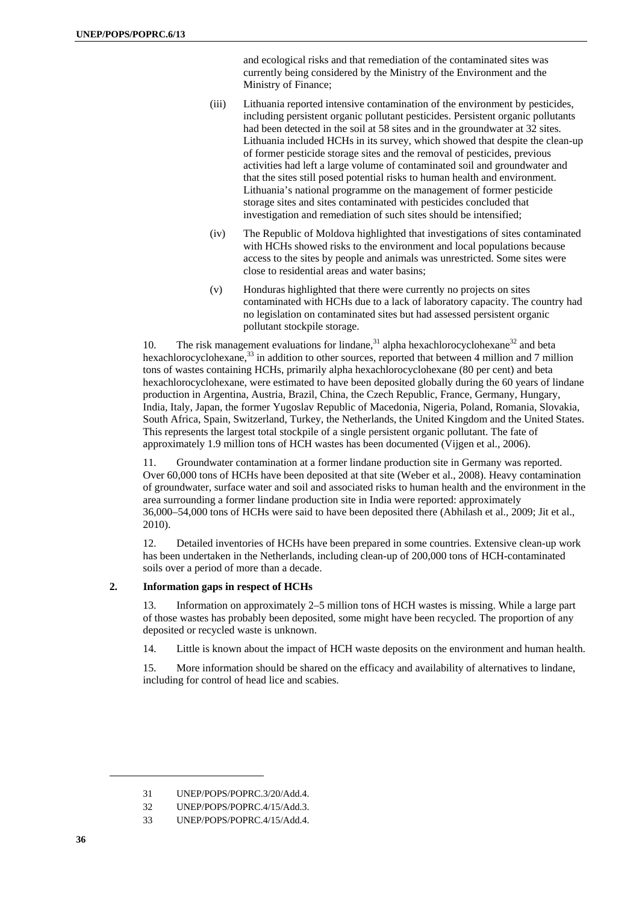and ecological risks and that remediation of the contaminated sites was currently being considered by the Ministry of the Environment and the Ministry of Finance;

- (iii) Lithuania reported intensive contamination of the environment by pesticides, including persistent organic pollutant pesticides. Persistent organic pollutants had been detected in the soil at 58 sites and in the groundwater at 32 sites. Lithuania included HCHs in its survey, which showed that despite the clean-up of former pesticide storage sites and the removal of pesticides, previous activities had left a large volume of contaminated soil and groundwater and that the sites still posed potential risks to human health and environment. Lithuania's national programme on the management of former pesticide storage sites and sites contaminated with pesticides concluded that investigation and remediation of such sites should be intensified;
- (iv) The Republic of Moldova highlighted that investigations of sites contaminated with HCHs showed risks to the environment and local populations because access to the sites by people and animals was unrestricted. Some sites were close to residential areas and water basins;
- (v) Honduras highlighted that there were currently no projects on sites contaminated with HCHs due to a lack of laboratory capacity. The country had no legislation on contaminated sites but had assessed persistent organic pollutant stockpile storage.

10. The risk management evaluations for lindane,  $31$  alpha hexachlorocyclohexane  $32$  and beta hexachlorocyclohexane,<sup>33</sup> in addition to other sources, reported that between 4 million and 7 million tons of wastes containing HCHs, primarily alpha hexachlorocyclohexane (80 per cent) and beta hexachlorocyclohexane, were estimated to have been deposited globally during the 60 years of lindane production in Argentina, Austria, Brazil, China, the Czech Republic, France, Germany, Hungary, India, Italy, Japan, the former Yugoslav Republic of Macedonia, Nigeria, Poland, Romania, Slovakia, South Africa, Spain, Switzerland, Turkey, the Netherlands, the United Kingdom and the United States. This represents the largest total stockpile of a single persistent organic pollutant. The fate of approximately 1.9 million tons of HCH wastes has been documented (Vijgen et al., 2006).

11. Groundwater contamination at a former lindane production site in Germany was reported. Over 60,000 tons of HCHs have been deposited at that site (Weber et al., 2008). Heavy contamination of groundwater, surface water and soil and associated risks to human health and the environment in the area surrounding a former lindane production site in India were reported: approximately 36,000–54,000 tons of HCHs were said to have been deposited there (Abhilash et al., 2009; Jit et al., 2010).

12. Detailed inventories of HCHs have been prepared in some countries. Extensive clean-up work has been undertaken in the Netherlands, including clean-up of 200,000 tons of HCH-contaminated soils over a period of more than a decade.

#### **2. Information gaps in respect of HCHs**

13. Information on approximately 2–5 million tons of HCH wastes is missing. While a large part of those wastes has probably been deposited, some might have been recycled. The proportion of any deposited or recycled waste is unknown.

14. Little is known about the impact of HCH waste deposits on the environment and human health.

15. More information should be shared on the efficacy and availability of alternatives to lindane, including for control of head lice and scabies.

<sup>31</sup> UNEP/POPS/POPRC 3/20/Add 4

<sup>32</sup> UNEP/POPS/POPRC.4/15/Add.3.

<sup>33</sup> UNEP/POPS/POPRC.4/15/Add.4.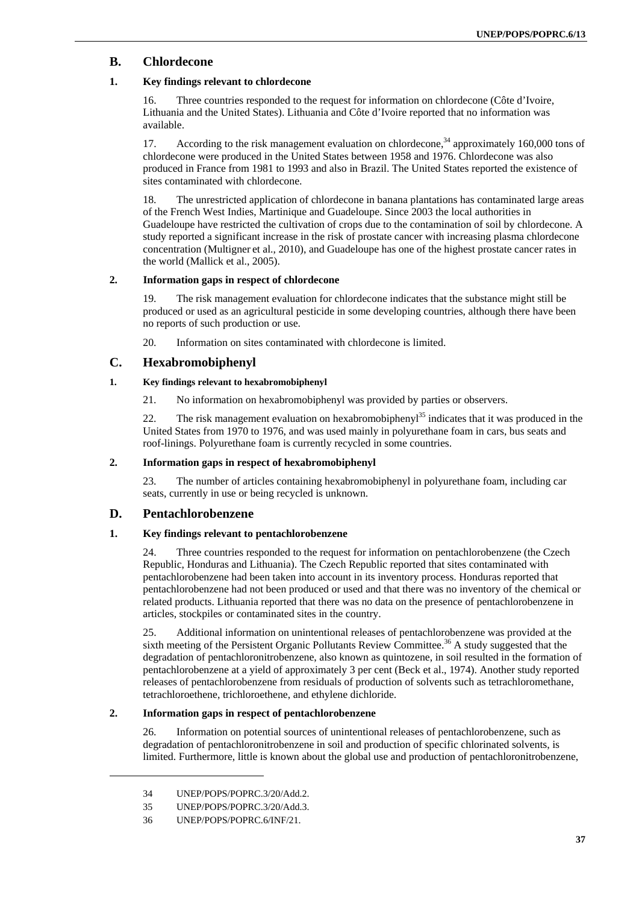### **B. Chlordecone**

### **1. Key findings relevant to chlordecone**

16. Three countries responded to the request for information on chlordecone (Côte d'Ivoire, Lithuania and the United States). Lithuania and Côte d'Ivoire reported that no information was available.

17. According to the risk management evaluation on chlordecone,  $34$  approximately 160,000 tons of chlordecone were produced in the United States between 1958 and 1976. Chlordecone was also produced in France from 1981 to 1993 and also in Brazil. The United States reported the existence of sites contaminated with chlordecone.

18. The unrestricted application of chlordecone in banana plantations has contaminated large areas of the French West Indies, Martinique and Guadeloupe. Since 2003 the local authorities in Guadeloupe have restricted the cultivation of crops due to the contamination of soil by chlordecone. A study reported a significant increase in the risk of prostate cancer with increasing plasma chlordecone concentration (Multigner et al., 2010), and Guadeloupe has one of the highest prostate cancer rates in the world (Mallick et al., 2005).

#### **2. Information gaps in respect of chlordecone**

19. The risk management evaluation for chlordecone indicates that the substance might still be produced or used as an agricultural pesticide in some developing countries, although there have been no reports of such production or use.

20. Information on sites contaminated with chlordecone is limited.

### **C. Hexabromobiphenyl**

#### **1. Key findings relevant to hexabromobiphenyl**

21. No information on hexabromobiphenyl was provided by parties or observers.

22. The risk management evaluation on hexabromobipheny<sup>135</sup> indicates that it was produced in the United States from 1970 to 1976, and was used mainly in polyurethane foam in cars, bus seats and roof-linings. Polyurethane foam is currently recycled in some countries.

#### **2. Information gaps in respect of hexabromobiphenyl**

23. The number of articles containing hexabromobiphenyl in polyurethane foam, including car seats, currently in use or being recycled is unknown.

#### **D. Pentachlorobenzene**

#### **1. Key findings relevant to pentachlorobenzene**

24. Three countries responded to the request for information on pentachlorobenzene (the Czech Republic, Honduras and Lithuania). The Czech Republic reported that sites contaminated with pentachlorobenzene had been taken into account in its inventory process. Honduras reported that pentachlorobenzene had not been produced or used and that there was no inventory of the chemical or related products. Lithuania reported that there was no data on the presence of pentachlorobenzene in articles, stockpiles or contaminated sites in the country.

25. Additional information on unintentional releases of pentachlorobenzene was provided at the sixth meeting of the Persistent Organic Pollutants Review Committee.<sup>36</sup> A study suggested that the degradation of pentachloronitrobenzene, also known as quintozene, in soil resulted in the formation of pentachlorobenzene at a yield of approximately 3 per cent (Beck et al., 1974). Another study reported releases of pentachlorobenzene from residuals of production of solvents such as tetrachloromethane, tetrachloroethene, trichloroethene, and ethylene dichloride.

#### **2. Information gaps in respect of pentachlorobenzene**

26. Information on potential sources of unintentional releases of pentachlorobenzene, such as degradation of pentachloronitrobenzene in soil and production of specific chlorinated solvents, is limited. Furthermore, little is known about the global use and production of pentachloronitrobenzene,

<sup>34</sup> UNEP/POPS/POPRC.3/20/Add.2.

<sup>35</sup> UNEP/POPS/POPRC.3/20/Add.3.

<sup>36</sup> UNEP/POPS/POPRC.6/INF/21.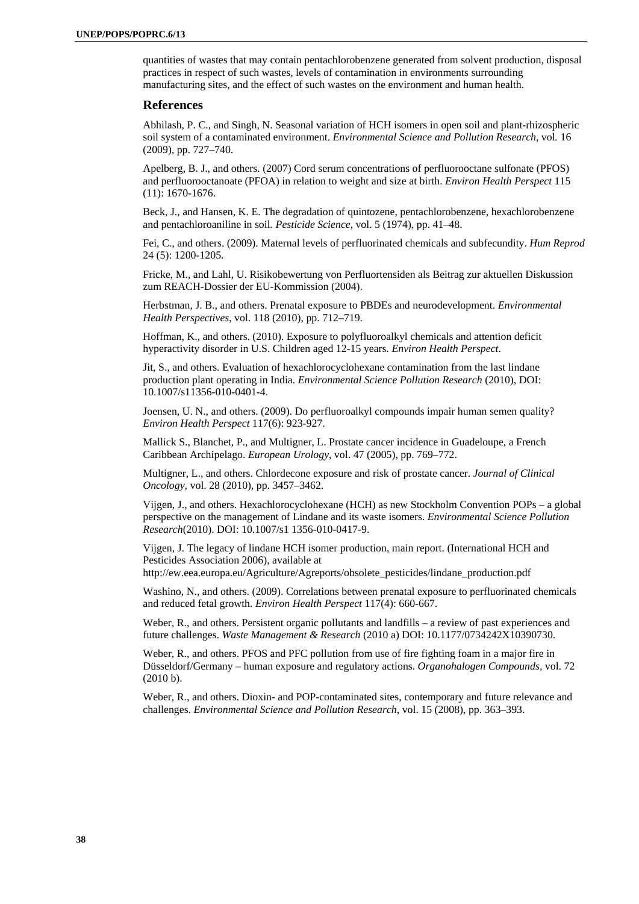quantities of wastes that may contain pentachlorobenzene generated from solvent production, disposal practices in respect of such wastes, levels of contamination in environments surrounding manufacturing sites, and the effect of such wastes on the environment and human health.

#### **References**

Abhilash, P. C., and Singh, N. Seasonal variation of HCH isomers in open soil and plant-rhizospheric soil system of a contaminated environment. *Environmental Science and Pollution Research,* vol*.* 16 (2009), pp. 727–740.

Apelberg, B. J., and others. (2007) Cord serum concentrations of perfluorooctane sulfonate (PFOS) and perfluorooctanoate (PFOA) in relation to weight and size at birth. *Environ Health Perspect* 115 (11): 1670-1676.

Beck, J., and Hansen, K. E. The degradation of quintozene, pentachlorobenzene, hexachlorobenzene and pentachloroaniline in soil*. Pesticide Science*, vol. 5 (1974), pp. 41–48.

Fei, C., and others. (2009). Maternal levels of perfluorinated chemicals and subfecundity. *Hum Reprod* 24 (5): 1200-1205.

Fricke, M., and Lahl, U. Risikobewertung von Perfluortensiden als Beitrag zur aktuellen Diskussion zum REACH-Dossier der EU-Kommission (2004).

Herbstman, J. B., and others. Prenatal exposure to PBDEs and neurodevelopment. *Environmental Health Perspectives*, vol. 118 (2010), pp. 712–719.

Hoffman, K., and others. (2010). Exposure to polyfluoroalkyl chemicals and attention deficit hyperactivity disorder in U.S. Children aged 12-15 years. *Environ Health Perspect*.

Jit, S., and others. Evaluation of hexachlorocyclohexane contamination from the last lindane production plant operating in India. *Environmental Science Pollution Research* (2010), DOI: 10.1007/s11356-010-0401-4.

Joensen, U. N., and others. (2009). Do perfluoroalkyl compounds impair human semen quality? *Environ Health Perspect* 117(6): 923-927.

Mallick S., Blanchet, P., and Multigner, L. Prostate cancer incidence in Guadeloupe, a French Caribbean Archipelago. *European Urology*, vol. 47 (2005), pp. 769–772.

Multigner, L., and others. Chlordecone exposure and risk of prostate cancer. *Journal of Clinical Oncology,* vol. 28 (2010), pp. 3457–3462.

Vijgen, J., and others. Hexachlorocyclohexane (HCH) as new Stockholm Convention POPs – a global perspective on the management of Lindane and its waste isomers. *Environmental Science Pollution Research*(2010). DOI: 10.1007/s1 1356-010-0417-9.

Vijgen, J. The legacy of lindane HCH isomer production, main report. (International HCH and Pesticides Association 2006), available at

http://ew.eea.europa.eu/Agriculture/Agreports/obsolete\_pesticides/lindane\_production.pdf

Washino, N., and others. (2009). Correlations between prenatal exposure to perfluorinated chemicals and reduced fetal growth. *Environ Health Perspect* 117(4): 660-667.

Weber, R., and others. Persistent organic pollutants and landfills – a review of past experiences and future challenges. *Waste Management & Research* (2010 a) DOI: 10.1177/0734242X10390730.

Weber, R., and others. PFOS and PFC pollution from use of fire fighting foam in a major fire in Düsseldorf/Germany – human exposure and regulatory actions. *Organohalogen Compounds*, vol. 72 (2010 b).

Weber, R., and others. Dioxin- and POP-contaminated sites, contemporary and future relevance and challenges. *Environmental Science and Pollution Research*, vol. 15 (2008), pp. 363–393.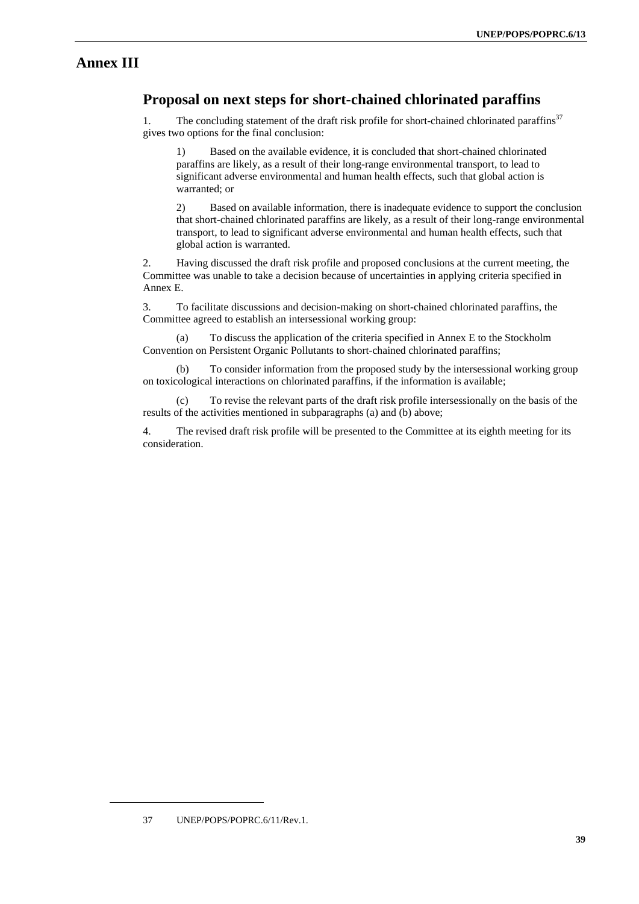# **Annex III**

# **Proposal on next steps for short-chained chlorinated paraffins**

1. The concluding statement of the draft risk profile for short-chained chlorinated paraffins<sup>37</sup> gives two options for the final conclusion:

1) Based on the available evidence, it is concluded that short-chained chlorinated paraffins are likely, as a result of their long-range environmental transport, to lead to significant adverse environmental and human health effects, such that global action is warranted; or

2) Based on available information, there is inadequate evidence to support the conclusion that short-chained chlorinated paraffins are likely, as a result of their long-range environmental transport, to lead to significant adverse environmental and human health effects, such that global action is warranted.

2. Having discussed the draft risk profile and proposed conclusions at the current meeting, the Committee was unable to take a decision because of uncertainties in applying criteria specified in Annex E.

3. To facilitate discussions and decision-making on short-chained chlorinated paraffins, the Committee agreed to establish an intersessional working group:

(a) To discuss the application of the criteria specified in Annex E to the Stockholm Convention on Persistent Organic Pollutants to short-chained chlorinated paraffins;

(b) To consider information from the proposed study by the intersessional working group on toxicological interactions on chlorinated paraffins, if the information is available;

(c) To revise the relevant parts of the draft risk profile intersessionally on the basis of the results of the activities mentioned in subparagraphs (a) and (b) above;

4. The revised draft risk profile will be presented to the Committee at its eighth meeting for its consideration.

<sup>37</sup> UNEP/POPS/POPRC.6/11/Rev.1.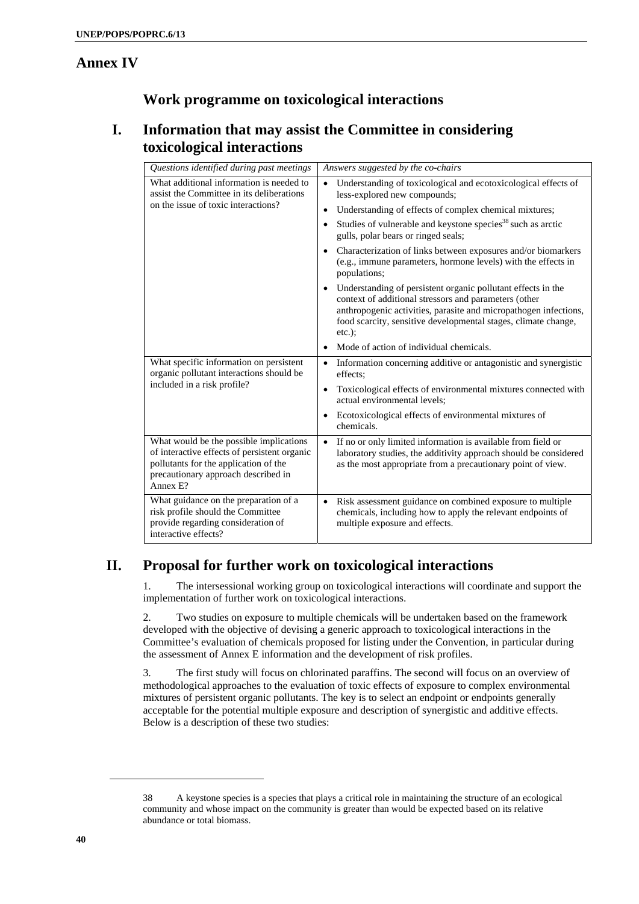# **Annex IV**

# **Work programme on toxicological interactions**

# **I. Information that may assist the Committee in considering toxicological interactions**

| Questions identified during past meetings                                                                                                                                           | Answers suggested by the co-chairs                                                                                                                                                                                                                                       |  |
|-------------------------------------------------------------------------------------------------------------------------------------------------------------------------------------|--------------------------------------------------------------------------------------------------------------------------------------------------------------------------------------------------------------------------------------------------------------------------|--|
| What additional information is needed to<br>assist the Committee in its deliberations<br>on the issue of toxic interactions?                                                        | Understanding of toxicological and ecotoxicological effects of<br>less-explored new compounds;                                                                                                                                                                           |  |
|                                                                                                                                                                                     | Understanding of effects of complex chemical mixtures;<br>$\bullet$                                                                                                                                                                                                      |  |
|                                                                                                                                                                                     | Studies of vulnerable and keystone species <sup>38</sup> such as arctic<br>gulls, polar bears or ringed seals;                                                                                                                                                           |  |
|                                                                                                                                                                                     | Characterization of links between exposures and/or biomarkers<br>(e.g., immune parameters, hormone levels) with the effects in<br>populations;                                                                                                                           |  |
|                                                                                                                                                                                     | Understanding of persistent organic pollutant effects in the<br>context of additional stressors and parameters (other<br>anthropogenic activities, parasite and micropathogen infections,<br>food scarcity, sensitive developmental stages, climate change,<br>$etc.$ ): |  |
|                                                                                                                                                                                     | Mode of action of individual chemicals.                                                                                                                                                                                                                                  |  |
| What specific information on persistent<br>organic pollutant interactions should be<br>included in a risk profile?                                                                  | Information concerning additive or antagonistic and synergistic<br>$\bullet$<br>effects:                                                                                                                                                                                 |  |
|                                                                                                                                                                                     | Toxicological effects of environmental mixtures connected with<br>$\bullet$<br>actual environmental levels;                                                                                                                                                              |  |
|                                                                                                                                                                                     | Ecotoxicological effects of environmental mixtures of<br>chemicals.                                                                                                                                                                                                      |  |
| What would be the possible implications<br>of interactive effects of persistent organic<br>pollutants for the application of the<br>precautionary approach described in<br>Annex E? | If no or only limited information is available from field or<br>$\bullet$<br>laboratory studies, the additivity approach should be considered<br>as the most appropriate from a precautionary point of view.                                                             |  |
| What guidance on the preparation of a<br>risk profile should the Committee<br>provide regarding consideration of<br>interactive effects?                                            | Risk assessment guidance on combined exposure to multiple<br>$\bullet$<br>chemicals, including how to apply the relevant endpoints of<br>multiple exposure and effects.                                                                                                  |  |

# **II. Proposal for further work on toxicological interactions**

1. The intersessional working group on toxicological interactions will coordinate and support the implementation of further work on toxicological interactions.

2. Two studies on exposure to multiple chemicals will be undertaken based on the framework developed with the objective of devising a generic approach to toxicological interactions in the Committee's evaluation of chemicals proposed for listing under the Convention, in particular during the assessment of Annex E information and the development of risk profiles.

3. The first study will focus on chlorinated paraffins. The second will focus on an overview of methodological approaches to the evaluation of toxic effects of exposure to complex environmental mixtures of persistent organic pollutants. The key is to select an endpoint or endpoints generally acceptable for the potential multiple exposure and description of synergistic and additive effects. Below is a description of these two studies:

<sup>38</sup> A keystone species is a species that plays a critical role in maintaining the structure of an ecological community and whose impact on the community is greater than would be expected based on its relative abundance or total biomass.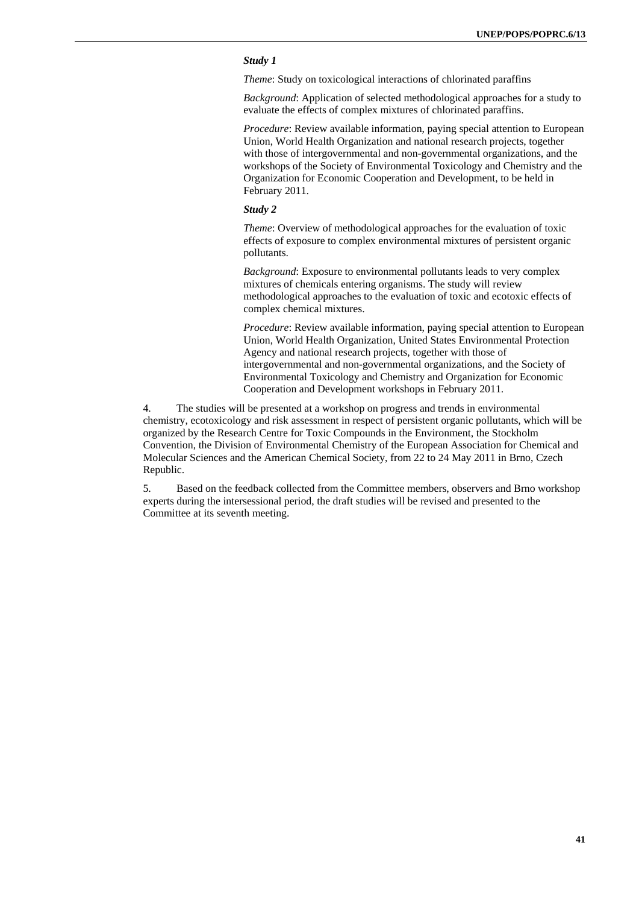#### *Study 1*

*Theme*: Study on toxicological interactions of chlorinated paraffins

*Background*: Application of selected methodological approaches for a study to evaluate the effects of complex mixtures of chlorinated paraffins.

*Procedure*: Review available information, paying special attention to European Union, World Health Organization and national research projects, together with those of intergovernmental and non-governmental organizations, and the workshops of the Society of Environmental Toxicology and Chemistry and the Organization for Economic Cooperation and Development, to be held in February 2011.

#### *Study 2*

*Theme*: Overview of methodological approaches for the evaluation of toxic effects of exposure to complex environmental mixtures of persistent organic pollutants.

*Background*: Exposure to environmental pollutants leads to very complex mixtures of chemicals entering organisms. The study will review methodological approaches to the evaluation of toxic and ecotoxic effects of complex chemical mixtures.

*Procedure*: Review available information, paying special attention to European Union, World Health Organization, United States Environmental Protection Agency and national research projects, together with those of intergovernmental and non-governmental organizations, and the Society of Environmental Toxicology and Chemistry and Organization for Economic Cooperation and Development workshops in February 2011.

4. The studies will be presented at a workshop on progress and trends in environmental chemistry, ecotoxicology and risk assessment in respect of persistent organic pollutants, which will be organized by the Research Centre for Toxic Compounds in the Environment, the Stockholm Convention, the Division of Environmental Chemistry of the European Association for Chemical and Molecular Sciences and the American Chemical Society, from 22 to 24 May 2011 in Brno, Czech Republic.

5. Based on the feedback collected from the Committee members, observers and Brno workshop experts during the intersessional period, the draft studies will be revised and presented to the Committee at its seventh meeting.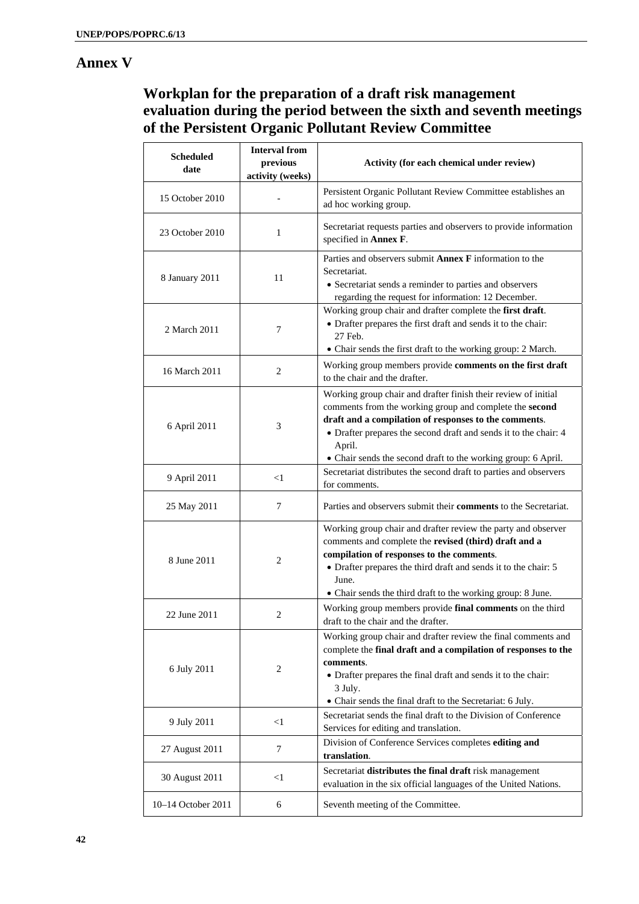# **Annex V**

# **Workplan for the preparation of a draft risk management evaluation during the period between the sixth and seventh meetings of the Persistent Organic Pollutant Review Committee**

| <b>Scheduled</b><br>date | <b>Interval from</b><br>previous<br>activity (weeks) | Activity (for each chemical under review)                                                                                                                                                                                                                                                                                         |
|--------------------------|------------------------------------------------------|-----------------------------------------------------------------------------------------------------------------------------------------------------------------------------------------------------------------------------------------------------------------------------------------------------------------------------------|
| 15 October 2010          |                                                      | Persistent Organic Pollutant Review Committee establishes an<br>ad hoc working group.                                                                                                                                                                                                                                             |
| 23 October 2010          | 1                                                    | Secretariat requests parties and observers to provide information<br>specified in Annex F.                                                                                                                                                                                                                                        |
| 8 January 2011           | 11                                                   | Parties and observers submit Annex F information to the<br>Secretariat.<br>• Secretariat sends a reminder to parties and observers<br>regarding the request for information: 12 December.                                                                                                                                         |
| 2 March 2011             | 7                                                    | Working group chair and drafter complete the first draft.<br>• Drafter prepares the first draft and sends it to the chair:<br>27 Feb.<br>• Chair sends the first draft to the working group: 2 March.                                                                                                                             |
| 16 March 2011            | 2                                                    | Working group members provide comments on the first draft<br>to the chair and the drafter.                                                                                                                                                                                                                                        |
| 6 April 2011             | 3                                                    | Working group chair and drafter finish their review of initial<br>comments from the working group and complete the second<br>draft and a compilation of responses to the comments.<br>• Drafter prepares the second draft and sends it to the chair: 4<br>April.<br>• Chair sends the second draft to the working group: 6 April. |
| 9 April 2011             | $<$ l                                                | Secretariat distributes the second draft to parties and observers<br>for comments.                                                                                                                                                                                                                                                |
| 25 May 2011              | 7                                                    | Parties and observers submit their comments to the Secretariat.                                                                                                                                                                                                                                                                   |
| 8 June 2011              | 2                                                    | Working group chair and drafter review the party and observer<br>comments and complete the revised (third) draft and a<br>compilation of responses to the comments.<br>• Drafter prepares the third draft and sends it to the chair: 5<br>June.<br>• Chair sends the third draft to the working group: 8 June.                    |
| 22 June 2011             | 2                                                    | Working group members provide final comments on the third<br>draft to the chair and the drafter.                                                                                                                                                                                                                                  |
| 6 July 2011              | 2                                                    | Working group chair and drafter review the final comments and<br>complete the final draft and a compilation of responses to the<br>comments.<br>• Drafter prepares the final draft and sends it to the chair:<br>3 July.<br>• Chair sends the final draft to the Secretariat: 6 July.                                             |
| 9 July 2011              | $<$ 1                                                | Secretariat sends the final draft to the Division of Conference<br>Services for editing and translation.                                                                                                                                                                                                                          |
| 27 August 2011           | $\overline{7}$                                       | Division of Conference Services completes editing and<br>translation.                                                                                                                                                                                                                                                             |
| 30 August 2011           | $<$ 1                                                | Secretariat distributes the final draft risk management<br>evaluation in the six official languages of the United Nations.                                                                                                                                                                                                        |
| 10-14 October 2011       | 6                                                    | Seventh meeting of the Committee.                                                                                                                                                                                                                                                                                                 |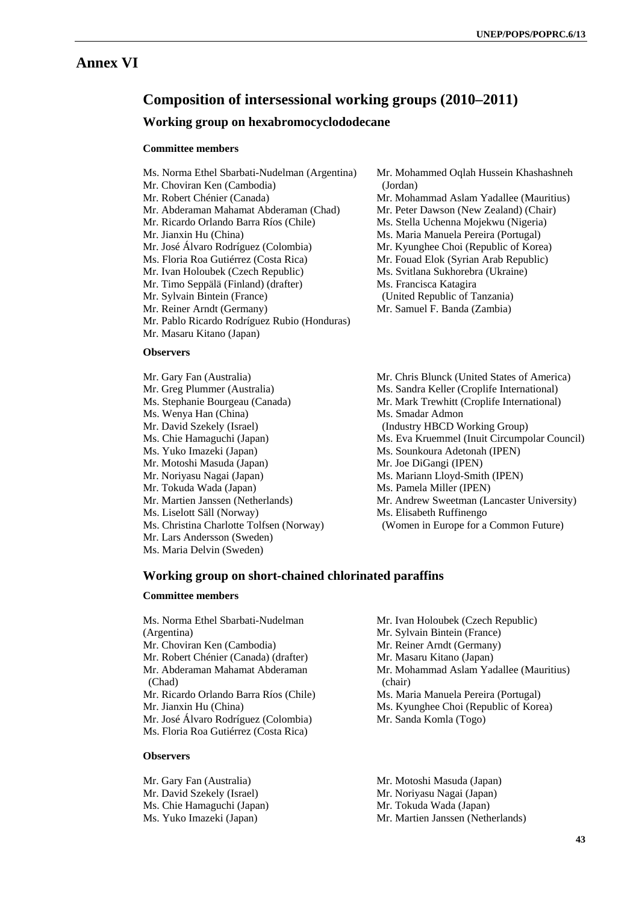# **Annex VI**

# **Composition of intersessional working groups (2010–2011)**

#### **Working group on hexabromocyclododecane**

#### **Committee members**

- Ms. Norma Ethel Sbarbati-Nudelman (Argentina)
- Mr. Choviran Ken (Cambodia)
- Mr. Robert Chénier (Canada)
- Mr. Abderaman Mahamat Abderaman (Chad)
- Mr. Ricardo Orlando Barra Ríos (Chile)
- Mr. Jianxin Hu (China)
- Mr. José Álvaro Rodríguez (Colombia)
- Ms. Floria Roa Gutiérrez (Costa Rica)
- Mr. Ivan Holoubek (Czech Republic)
- Mr. Timo Seppälä (Finland) (drafter)
- Mr. Sylvain Bintein (France)
- Mr. Reiner Arndt (Germany)
- Mr. Pablo Ricardo Rodríguez Rubio (Honduras)
- Mr. Masaru Kitano (Japan)

#### **Observers**

- Mr. Gary Fan (Australia)
- Mr. Greg Plummer (Australia)
- Ms. Stephanie Bourgeau (Canada)
- Ms. Wenya Han (China)
- Mr. David Szekely (Israel)
- Ms. Chie Hamaguchi (Japan)
- Ms. Yuko Imazeki (Japan)
- Mr. Motoshi Masuda (Japan)
- Mr. Noriyasu Nagai (Japan)
- Mr. Tokuda Wada (Japan)
- Mr. Martien Janssen (Netherlands)
- Ms. Liselott Säll (Norway)
- Ms. Christina Charlotte Tolfsen (Norway)
- Mr. Lars Andersson (Sweden)
- Ms. Maria Delvin (Sweden)
- Mr. Mohammed Oqlah Hussein Khashashneh (Jordan)
- Mr. Mohammad Aslam Yadallee (Mauritius)
- Mr. Peter Dawson (New Zealand) (Chair)
- Ms. Stella Uchenna Mojekwu (Nigeria)
- Ms. Maria Manuela Pereira (Portugal)
- Mr. Kyunghee Choi (Republic of Korea)
- Mr. Fouad Elok (Syrian Arab Republic)
- Ms. Svitlana Sukhorebra (Ukraine)
- Ms. Francisca Katagira
- (United Republic of Tanzania)
- Mr. Samuel F. Banda (Zambia)
- Mr. Chris Blunck (United States of America) Ms. Sandra Keller (Croplife International) Mr. Mark Trewhitt (Croplife International) Ms. Smadar Admon (Industry HBCD Working Group) Ms. Eva Kruemmel (Inuit Circumpolar Council) Ms. Sounkoura Adetonah (IPEN) Mr. Joe DiGangi (IPEN) Ms. Mariann Lloyd-Smith (IPEN) Ms. Pamela Miller (IPEN) Mr. Andrew Sweetman (Lancaster University) Ms. Elisabeth Ruffinengo (Women in Europe for a Common Future)

#### **Working group on short-chained chlorinated paraffins**

#### **Committee members**

Mr. Gary Fan (Australia) Mr. David Szekely (Israel) Ms. Chie Hamaguchi (Japan) Ms. Yuko Imazeki (Japan)

- Ms. Norma Ethel Sbarbati-Nudelman (Argentina) Mr. Choviran Ken (Cambodia) Mr. Robert Chénier (Canada) (drafter) Mr. Abderaman Mahamat Abderaman (Chad) Mr. Ricardo Orlando Barra Ríos (Chile) Mr. Jianxin Hu (China) Mr. José Álvaro Rodríguez (Colombia) Ms. Floria Roa Gutiérrez (Costa Rica) **Observers**
- Mr. Ivan Holoubek (Czech Republic)
- Mr. Sylvain Bintein (France)
- Mr. Reiner Arndt (Germany)
- Mr. Masaru Kitano (Japan)
- Mr. Mohammad Aslam Yadallee (Mauritius) (chair)
- Ms. Maria Manuela Pereira (Portugal)
- Ms. Kyunghee Choi (Republic of Korea)
- Mr. Sanda Komla (Togo)
- Mr. Motoshi Masuda (Japan)
- Mr. Noriyasu Nagai (Japan)
- Mr. Tokuda Wada (Japan)
- Mr. Martien Janssen (Netherlands)